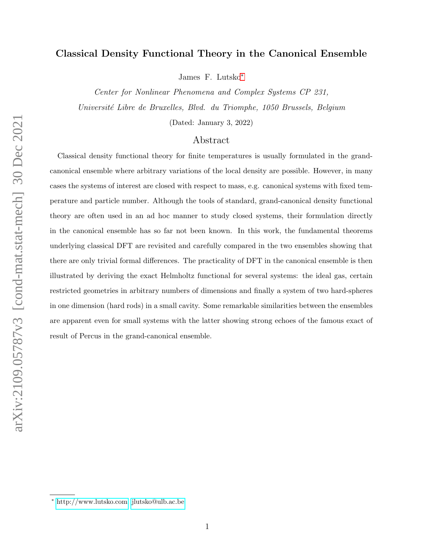# arXiv:2109.05787v3 [cond-mat.stat-mech] 30 Dec 2021 arXiv:2109.05787v3 [cond-mat.stat-mech] 30 Dec 2021

# Classical Density Functional Theory in the Canonical Ensemble

James F. Lutsko[∗](#page-0-0)

Center for Nonlinear Phenomena and Complex Systems CP 231, Universit´e Libre de Bruxelles, Blvd. du Triomphe, 1050 Brussels, Belgium

(Dated: January 3, 2022)

# Abstract

Classical density functional theory for finite temperatures is usually formulated in the grandcanonical ensemble where arbitrary variations of the local density are possible. However, in many cases the systems of interest are closed with respect to mass, e.g. canonical systems with fixed temperature and particle number. Although the tools of standard, grand-canonical density functional theory are often used in an ad hoc manner to study closed systems, their formulation directly in the canonical ensemble has so far not been known. In this work, the fundamental theorems underlying classical DFT are revisited and carefully compared in the two ensembles showing that there are only trivial formal differences. The practicality of DFT in the canonical ensemble is then illustrated by deriving the exact Helmholtz functional for several systems: the ideal gas, certain restricted geometries in arbitrary numbers of dimensions and finally a system of two hard-spheres in one dimension (hard rods) in a small cavity. Some remarkable similarities between the ensembles are apparent even for small systems with the latter showing strong echoes of the famous exact of result of Percus in the grand-canonical ensemble.

<span id="page-0-0"></span><sup>∗</sup> [http://www.lutsko.com;](http://www.lutsko.com) [jlutsko@ulb.ac.be](mailto:jlutsko@ulb.ac.be)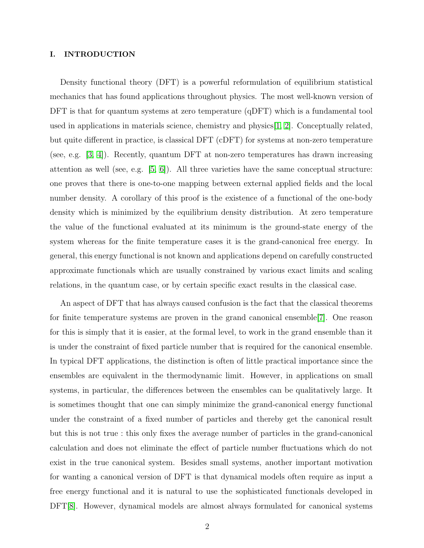# I. INTRODUCTION

Density functional theory (DFT) is a powerful reformulation of equilibrium statistical mechanics that has found applications throughout physics. The most well-known version of DFT is that for quantum systems at zero temperature (qDFT) which is a fundamental tool used in applications in materials science, chemistry and physics[\[1,](#page-23-0) [2\]](#page-23-1). Conceptually related, but quite different in practice, is classical DFT (cDFT) for systems at non-zero temperature (see, e.g. [\[3,](#page-23-2) [4\]](#page-24-0)). Recently, quantum DFT at non-zero temperatures has drawn increasing attention as well (see, e.g. [\[5,](#page-24-1) [6\]](#page-24-2)). All three varieties have the same conceptual structure: one proves that there is one-to-one mapping between external applied fields and the local number density. A corollary of this proof is the existence of a functional of the one-body density which is minimized by the equilibrium density distribution. At zero temperature the value of the functional evaluated at its minimum is the ground-state energy of the system whereas for the finite temperature cases it is the grand-canonical free energy. In general, this energy functional is not known and applications depend on carefully constructed approximate functionals which are usually constrained by various exact limits and scaling relations, in the quantum case, or by certain specific exact results in the classical case.

An aspect of DFT that has always caused confusion is the fact that the classical theorems for finite temperature systems are proven in the grand canonical ensemble[\[7\]](#page-24-3). One reason for this is simply that it is easier, at the formal level, to work in the grand ensemble than it is under the constraint of fixed particle number that is required for the canonical ensemble. In typical DFT applications, the distinction is often of little practical importance since the ensembles are equivalent in the thermodynamic limit. However, in applications on small systems, in particular, the differences between the ensembles can be qualitatively large. It is sometimes thought that one can simply minimize the grand-canonical energy functional under the constraint of a fixed number of particles and thereby get the canonical result but this is not true : this only fixes the average number of particles in the grand-canonical calculation and does not eliminate the effect of particle number fluctuations which do not exist in the true canonical system. Besides small systems, another important motivation for wanting a canonical version of DFT is that dynamical models often require as input a free energy functional and it is natural to use the sophisticated functionals developed in DFT[\[8\]](#page-24-4). However, dynamical models are almost always formulated for canonical systems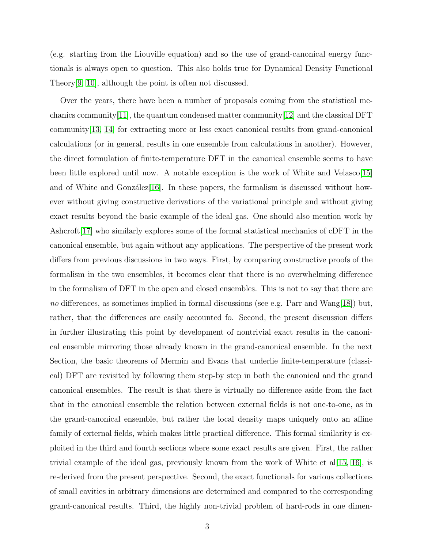(e.g. starting from the Liouville equation) and so the use of grand-canonical energy functionals is always open to question. This also holds true for Dynamical Density Functional Theory[\[9,](#page-24-5) [10\]](#page-24-6), although the point is often not discussed.

Over the years, there have been a number of proposals coming from the statistical me-chanics community [\[11\]](#page-24-7), the quantum condensed matter community [\[12\]](#page-24-8) and the classical DFT community[\[13,](#page-24-9) [14\]](#page-24-10) for extracting more or less exact canonical results from grand-canonical calculations (or in general, results in one ensemble from calculations in another). However, the direct formulation of finite-temperature DFT in the canonical ensemble seems to have been little explored until now. A notable exception is the work of White and Velasco $[15]$ and of White and González[\[16\]](#page-24-12). In these papers, the formalism is discussed without however without giving constructive derivations of the variational principle and without giving exact results beyond the basic example of the ideal gas. One should also mention work by Ashcroft<sup>[\[17\]](#page-25-0)</sup> who similarly explores some of the formal statistical mechanics of cDFT in the canonical ensemble, but again without any applications. The perspective of the present work differs from previous discussions in two ways. First, by comparing constructive proofs of the formalism in the two ensembles, it becomes clear that there is no overwhelming difference in the formalism of DFT in the open and closed ensembles. This is not to say that there are no differences, as sometimes implied in formal discussions (see e.g. Parr and Wang[\[18\]](#page-25-1)) but, rather, that the differences are easily accounted fo. Second, the present discussion differs in further illustrating this point by development of nontrivial exact results in the canonical ensemble mirroring those already known in the grand-canonical ensemble. In the next Section, the basic theorems of Mermin and Evans that underlie finite-temperature (classical) DFT are revisited by following them step-by step in both the canonical and the grand canonical ensembles. The result is that there is virtually no difference aside from the fact that in the canonical ensemble the relation between external fields is not one-to-one, as in the grand-canonical ensemble, but rather the local density maps uniquely onto an affine family of external fields, which makes little practical difference. This formal similarity is exploited in the third and fourth sections where some exact results are given. First, the rather trivial example of the ideal gas, previously known from the work of White et al[\[15,](#page-24-11) [16\]](#page-24-12), is re-derived from the present perspective. Second, the exact functionals for various collections of small cavities in arbitrary dimensions are determined and compared to the corresponding grand-canonical results. Third, the highly non-trivial problem of hard-rods in one dimen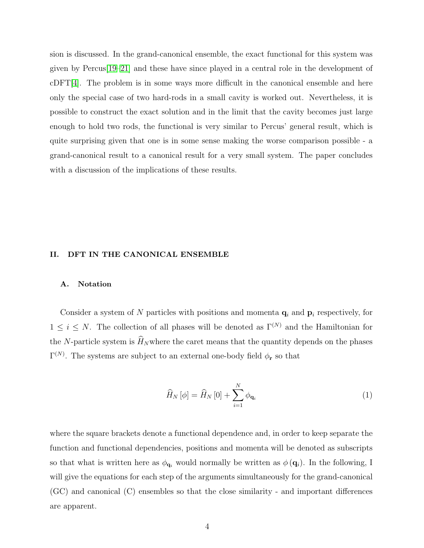sion is discussed. In the grand-canonical ensemble, the exact functional for this system was given by Percus[\[19](#page-25-2)[–21\]](#page-25-3) and these have since played in a central role in the development of cDFT[\[4\]](#page-24-0). The problem is in some ways more difficult in the canonical ensemble and here only the special case of two hard-rods in a small cavity is worked out. Nevertheless, it is possible to construct the exact solution and in the limit that the cavity becomes just large enough to hold two rods, the functional is very similar to Percus' general result, which is quite surprising given that one is in some sense making the worse comparison possible - a grand-canonical result to a canonical result for a very small system. The paper concludes with a discussion of the implications of these results.

# II. DFT IN THE CANONICAL ENSEMBLE

# A. Notation

Consider a system of N particles with positions and momenta  $\mathbf{q}_i$  and  $\mathbf{p}_i$  respectively, for  $1 \leq i \leq N$ . The collection of all phases will be denoted as  $\Gamma^{(N)}$  and the Hamiltonian for the N-particle system is  $\widehat{H}_N$  where the caret means that the quantity depends on the phases  $\Gamma^{(N)}$ . The systems are subject to an external one-body field  $\phi_{\mathbf{r}}$  so that

$$
\widehat{H}_N\left[\phi\right] = \widehat{H}_N\left[0\right] + \sum_{i=1}^N \phi_{\mathbf{q}_i} \tag{1}
$$

where the square brackets denote a functional dependence and, in order to keep separate the function and functional dependencies, positions and momenta will be denoted as subscripts so that what is written here as  $\phi_{\mathbf{q}_i}$  would normally be written as  $\phi(\mathbf{q}_i)$ . In the following, I will give the equations for each step of the arguments simultaneously for the grand-canonical (GC) and canonical (C) ensembles so that the close similarity - and important differences are apparent.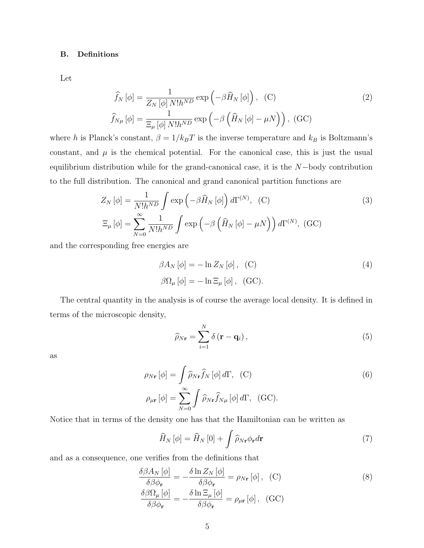# B. Definitions

Let

$$
\widehat{f}_N\left[\phi\right] = \frac{1}{Z_N\left[\phi\right]N!h^{ND}}\exp\left(-\beta\widehat{H}_N\left[\phi\right]\right), \quad \text{(C)}
$$
\n
$$
\widehat{f}_{N\mu}\left[\phi\right] = \frac{1}{\Xi_{\mu}\left[\phi\right]N!h^{ND}}\exp\left(-\beta\left(\widehat{H}_N\left[\phi\right] - \mu N\right)\right), \quad \text{(GC)}
$$
\n(2)

where h is Planck's constant,  $\beta = 1/k_B T$  is the inverse temperature and  $k_B$  is Boltzmann's constant, and  $\mu$  is the chemical potential. For the canonical case, this is just the usual equilibrium distribution while for the grand-canonical case, it is the N−body contribution to the full distribution. The canonical and grand canonical partition functions are

$$
Z_N\left[\phi\right] = \frac{1}{N!h^{ND}} \int \exp\left(-\beta \hat{H}_N\left[\phi\right]\right) d\Gamma^{(N)}, \quad \text{(C)}
$$
  

$$
\Xi_\mu\left[\phi\right] = \sum_{N=0}^\infty \frac{1}{N!h^{ND}} \int \exp\left(-\beta \left(\hat{H}_N\left[\phi\right] - \mu N\right)\right) d\Gamma^{(N)}, \quad \text{(GC)}
$$

and the corresponding free energies are

$$
\beta A_N [\phi] = -\ln Z_N [\phi], (C)
$$
  

$$
\beta \Omega_\mu [\phi] = -\ln \Xi_\mu [\phi], (GC).
$$
 (4)

The central quantity in the analysis is of course the average local density. It is defined in terms of the microscopic density,

<span id="page-4-0"></span>
$$
\widehat{\rho}_{N\mathbf{r}} = \sum_{i=1}^{N} \delta(\mathbf{r} - \mathbf{q}_i), \qquad (5)
$$

as

$$
\rho_{N\mathbf{r}}[\phi] = \int \widehat{\rho}_{N\mathbf{r}} \widehat{f}_N[\phi] d\Gamma, \quad (C)
$$

$$
\rho_{\mu\mathbf{r}}[\phi] = \sum_{N=0}^{\infty} \int \widehat{\rho}_{N\mathbf{r}} \widehat{f}_{N\mu}[\phi] d\Gamma, \quad (GC).
$$
 (6)

Notice that in terms of the density one has that the Hamiltonian can be written as

<span id="page-4-1"></span>
$$
\widehat{H}_{N}\left[\phi\right] = \widehat{H}_{N}\left[0\right] + \int \widehat{\rho}_{N\mathbf{r}} \phi_{\mathbf{r}} d\mathbf{r} \tag{7}
$$

and as a consequence, one verifies from the definitions that

$$
\frac{\delta \beta A_N [\phi]}{\delta \beta \phi_{\mathbf{r}}} = -\frac{\delta \ln Z_N [\phi]}{\delta \beta \phi_{\mathbf{r}}} = \rho_{N\mathbf{r}} [\phi], (C)
$$
\n
$$
\frac{\delta \beta \Omega_{\mu} [\phi]}{\delta \beta \phi_{\mathbf{r}}} = -\frac{\delta \ln \Xi_{\mu} [\phi]}{\delta \beta \phi_{\mathbf{r}}} = \rho_{\mu \mathbf{r}} [\phi], (GC)
$$
\n(8)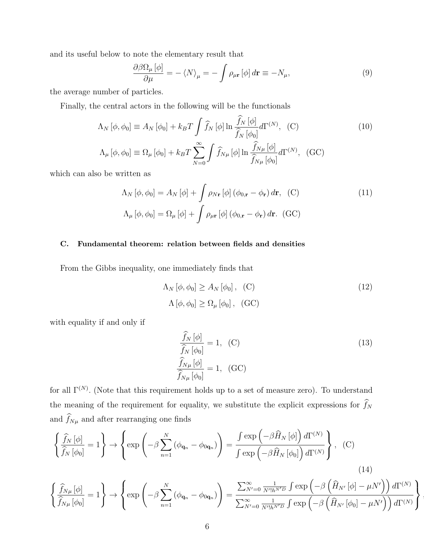and its useful below to note the elementary result that

$$
\frac{\partial \beta \Omega_{\mu} [\phi]}{\partial \mu} = - \langle N \rangle_{\mu} = - \int \rho_{\mu \mathbf{r}} [\phi] d\mathbf{r} \equiv -N_{\mu}, \tag{9}
$$

the average number of particles.

Finally, the central actors in the following will be the functionals

$$
\Lambda_N [\phi, \phi_0] \equiv A_N [\phi_0] + k_B T \int \widehat{f}_N [\phi] \ln \frac{\widehat{f}_N [\phi]}{\widehat{f}_N [\phi_0]} d\Gamma^{(N)}, \quad (C)
$$
\n
$$
\Lambda_\mu [\phi, \phi_0] \equiv \Omega_\mu [\phi_0] + k_B T \sum_{N=0}^\infty \int \widehat{f}_{N\mu} [\phi] \ln \frac{\widehat{f}_{N\mu} [\phi]}{\widehat{f}_{N\mu} [\phi_0]} d\Gamma^{(N)}, \quad (GC)
$$
\n(10)

which can also be written as

$$
\Lambda_N [\phi, \phi_0] = A_N [\phi] + \int \rho_{N\mathbf{r}} [\phi] (\phi_{0,\mathbf{r}} - \phi_{\mathbf{r}}) d\mathbf{r}, \quad (C)
$$
\n
$$
\Lambda_\mu [\phi, \phi_0] = \Omega_\mu [\phi] + \int \rho_{\mu\mathbf{r}} [\phi] (\phi_{0,\mathbf{r}} - \phi_{\mathbf{r}}) d\mathbf{r}. \quad (GC)
$$
\n(11)

# C. Fundamental theorem: relation between fields and densities

From the Gibbs inequality, one immediately finds that

$$
\Lambda_N [\phi, \phi_0] \ge A_N [\phi_0], \quad (C)
$$
  

$$
\Lambda [\phi, \phi_0] \ge \Omega_\mu [\phi_0], \quad (GC)
$$
 (12)

with equality if and only if

 $\mathcal{L}$ 

 $n=1$ 

$$
\frac{\widehat{f}_N[\phi]}{\widehat{f}_N[\phi_0]} = 1, (C)
$$
\n
$$
\frac{\widehat{f}_{N\mu}[\phi]}{\widehat{f}_{N\mu}[\phi_0]} = 1, (GC)
$$
\n(13)

 $\mathcal{L}$  $\mathcal{L}$ 

 $\overline{a}$ 

 $\int$ 

for all  $\Gamma^{(N)}$ . (Note that this requirement holds up to a set of measure zero). To understand the meaning of the requirement for equality, we substitute the explicit expressions for  $\widehat{f}_N$ and  $\widehat f_{N\mu}$  and after rearranging one finds

$$
\left\{\frac{\widehat{f}_{N}\left[\phi\right]}{\widehat{f}_{N}\left[\phi_{0}\right]}=1\right\} \rightarrow \left\{\exp\left(-\beta \sum_{n=1}^{N}\left(\phi_{\mathbf{q}_{n}}-\phi_{0\mathbf{q}_{n}}\right)\right)=\frac{\int \exp\left(-\beta \widehat{H}_{N}\left[\phi\right]\right)d\Gamma^{(N)}}{\int \exp\left(-\beta \widehat{H}_{N}\left[\phi_{0}\right]\right)d\Gamma^{(N)}}\right\}, (C)
$$
\n
$$
\left\{\frac{\widehat{f}_{N\mu}\left[\phi\right]}{\widehat{f}_{N\mu}\left[\phi_{0}\right]}=1\right\} \rightarrow \left\{\exp\left(-\beta \sum_{n=1}^{N}\left(\phi_{\mathbf{q}_{n}}-\phi_{0\mathbf{q}_{n}}\right)\right)=\frac{\sum_{N'=0}^{\infty}\frac{1}{N'!h^{N'D}}\int \exp\left(-\beta \left(\widehat{H}_{N'}\left[\phi\right]-\mu N'\right)\right)d\Gamma^{(N)}}{\sum_{N'=0}^{\infty}\frac{1}{N'!h^{N'D}}\int \exp\left(-\beta \left(\widehat{H}_{N'}\left[\phi_{0}\right]-\mu N'\right)\right)d\Gamma^{(N)}}
$$
\n(14)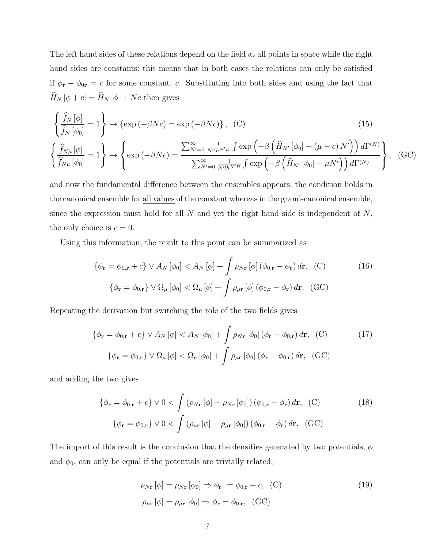The left hand sides of these relations depend on the field at all points in space while the right hand sides are constants: this means that in both cases the relations can only be satisfied if  $\phi_{\bf r} - \phi_{0{\bf r}} = c$  for some constant, c. Substituting into both sides and using the fact that  $\widehat{H}_N\left[\phi+c\right] = \widehat{H}_N\left[\phi\right] + Nc$  then gives

$$
\left\{\frac{\widehat{f}_N\left[\phi\right]}{\widehat{f}_N\left[\phi_0\right]} = 1\right\} \to \left\{\exp\left(-\beta Nc\right) = \exp\left(-\beta Nc\right)\right\}, \quad \text{(C)}\tag{15}
$$
\n
$$
\left(\widehat{f}_N\left[\phi_0\right] = 1\right) \qquad \left(\widehat{f}_N\left[\phi_0\right] = \left(\mu - c\right)N'\right) \Big|_{\text{d}(\mathbb{R}^N)}\tag{16}
$$

$$
\left\{\frac{\widehat{f}_{N\mu}\left[\phi\right]}{\widehat{f}_{N\mu}\left[\phi_{0}\right]}=1\right\} \to \left\{\exp\left(-\beta N c\right)=\frac{\sum_{N'=0}^{\infty}\frac{1}{N'lh^{N'D}}\int \exp\left(-\beta\left(\widehat{H}_{N'}\left[\phi_{0}\right]-\left(\mu-c\right)N'\right)\right)d\Gamma^{(N)}}{\sum_{N'=0}^{\infty}\frac{1}{N'lh^{N'D}}\int \exp\left(-\beta\left(\widehat{H}_{N'}\left[\phi_{0}\right]-\mu N'\right)\right)d\Gamma^{(N)}}\right\},\quad\text{(GC)}
$$

 $\lambda$ 

and now the fundamental difference between the ensembles appears: the condition holds in the canonical ensemble for all values of the constant whereas in the grand-canonical ensemble, since the expression must hold for all  $N$  and yet the right hand side is independent of  $N$ , the only choice is  $c = 0$ .

Using this information, the result to this point can be summarized as

$$
\{\phi_{\mathbf{r}} = \phi_{0,\mathbf{r}} + c\} \vee A_N [\phi_0] < A_N [\phi] + \int \rho_{N\mathbf{r}} [\phi] (\phi_{0,\mathbf{r}} - \phi_{\mathbf{r}}) d\mathbf{r}, \quad \text{(C)} \tag{16}
$$
\n
$$
\{\phi_{\mathbf{r}} = \phi_{0,\mathbf{r}}\} \vee \Omega_{\mu} [\phi_0] < \Omega_{\mu} [\phi] + \int \rho_{\mu\mathbf{r}} [\phi] (\phi_{0,\mathbf{r}} - \phi_{\mathbf{r}}) d\mathbf{r}, \quad \text{(GC)}
$$

Repeating the derivation but switching the role of the two fields gives

$$
\{\phi_{\mathbf{r}} = \phi_{0,\mathbf{r}} + c\} \vee A_N [\phi] < A_N [\phi_0] + \int \rho_{N\mathbf{r}} [\phi_0] (\phi_{\mathbf{r}} - \phi_{0,\mathbf{r}}) d\mathbf{r}, \quad \text{(C)}
$$
\n
$$
\{\phi_{\mathbf{r}} = \phi_{0,\mathbf{r}}\} \vee \Omega_{\mu} [\phi] < \Omega_{\mu} [\phi_0] + \int \rho_{\mu\mathbf{r}} [\phi_0] (\phi_{\mathbf{r}} - \phi_{0,\mathbf{r}}) d\mathbf{r}, \quad \text{(GC)}
$$
\n
$$
\text{(17)}
$$

and adding the two gives

$$
\{\phi_{\mathbf{r}} = \phi_{0,\mathbf{r}} + c\} \vee 0 < \int (\rho_{N\mathbf{r}} [\phi] - \rho_{N\mathbf{r}} [\phi_0]) (\phi_{0,\mathbf{r}} - \phi_{\mathbf{r}}) d\mathbf{r}, \quad (C)
$$
\n
$$
\{\phi_{\mathbf{r}} = \phi_{0,\mathbf{r}}\} \vee 0 < \int (\rho_{\mu\mathbf{r}} [\phi] - \rho_{\mu\mathbf{r}} [\phi_0]) (\phi_{0,\mathbf{r}} - \phi_{\mathbf{r}}) d\mathbf{r}, \quad (GC)
$$
\n(18)

The import of this result is the conclusion that the densities generated by two potentials,  $\phi$ and  $\phi_0$ , can only be equal if the potentials are trivially related,

<span id="page-6-0"></span>
$$
\rho_{N\mathbf{r}}\left[\phi\right] = \rho_{N\mathbf{r}}\left[\phi_0\right] \Rightarrow \phi_{\mathbf{r}} = \phi_{0,\mathbf{r}} + c,\quad\text{(C)}
$$
\n
$$
\rho_{\mu\mathbf{r}}\left[\phi\right] = \rho_{\mu\mathbf{r}}\left[\phi_0\right] \Rightarrow \phi_{\mathbf{r}} = \phi_{0,\mathbf{r}},\quad\text{(GC)}
$$
\n(19)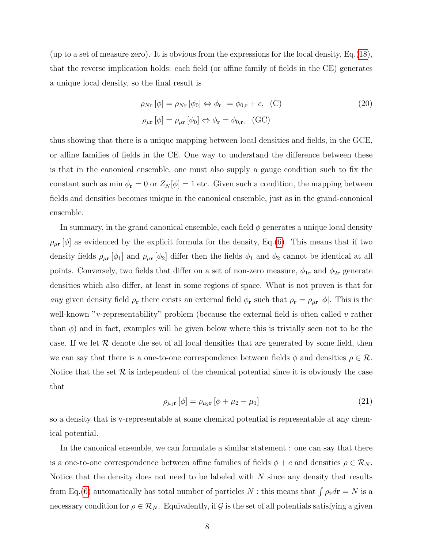(up to a set of measure zero). It is obvious from the expressions for the local density,  $Eq.(18)$  $Eq.(18)$ , that the reverse implication holds: each field (or affine family of fields in the CE) generates a unique local density, so the final result is

$$
\rho_{N\mathbf{r}}\left[\phi\right] = \rho_{N\mathbf{r}}\left[\phi_0\right] \Leftrightarrow \phi_{\mathbf{r}} = \phi_{0,\mathbf{r}} + c,\quad\text{(C)}
$$
\n
$$
\rho_{\mu\mathbf{r}}\left[\phi\right] = \rho_{\mu\mathbf{r}}\left[\phi_0\right] \Leftrightarrow \phi_{\mathbf{r}} = \phi_{0,\mathbf{r}},\quad\text{(GC)}
$$
\n(20)

thus showing that there is a unique mapping between local densities and fields, in the GCE, or affine families of fields in the CE. One way to understand the difference between these is that in the canonical ensemble, one must also supply a gauge condition such to fix the constant such as min  $\phi_{\mathbf{r}} = 0$  or  $Z_N[\phi] = 1$  etc. Given such a condition, the mapping between fields and densities becomes unique in the canonical ensemble, just as in the grand-canonical ensemble.

In summary, in the grand canonical ensemble, each field  $\phi$  generates a unique local density  $\rho_{\mu r}$   $[\phi]$  as evidenced by the explicit formula for the density, Eq.[\(6\)](#page-4-0). This means that if two density fields  $\rho_{\mu r} [\phi_1]$  and  $\rho_{\mu r} [\phi_2]$  differ then the fields  $\phi_1$  and  $\phi_2$  cannot be identical at all points. Conversely, two fields that differ on a set of non-zero measure,  $\phi_{1r}$  and  $\phi_{2r}$  generate densities which also differ, at least in some regions of space. What is not proven is that for any given density field  $\rho_r$  there exists an external field  $\phi_r$  such that  $\rho_r = \rho_{\mu r} [\phi]$ . This is the well-known "v-representability" problem (because the external field is often called  $v$  rather than  $\phi$ ) and in fact, examples will be given below where this is trivially seen not to be the case. If we let  $\mathcal R$  denote the set of all local densities that are generated by some field, then we can say that there is a one-to-one correspondence between fields  $\phi$  and densities  $\rho \in \mathcal{R}$ . Notice that the set  $\mathcal R$  is independent of the chemical potential since it is obviously the case that

$$
\rho_{\mu_1 \mathbf{r}} [\phi] = \rho_{\mu_2 \mathbf{r}} [\phi + \mu_2 - \mu_1] \tag{21}
$$

so a density that is v-representable at some chemical potential is representable at any chemical potential.

In the canonical ensemble, we can formulate a similar statement : one can say that there is a one-to-one correspondence between affine families of fields  $\phi + c$  and densities  $\rho \in \mathcal{R}_N$ . Notice that the density does not need to be labeled with  $N$  since any density that results from Eq.[\(6\)](#page-4-0) automatically has total number of particles N : this means that  $\int \rho_r d\mathbf{r} = N$  is a necessary condition for  $\rho \in \mathcal{R}_N$ . Equivalently, if G is the set of all potentials satisfying a given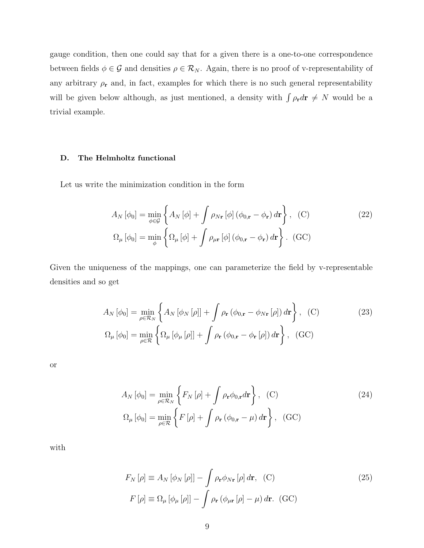gauge condition, then one could say that for a given there is a one-to-one correspondence between fields  $\phi \in \mathcal{G}$  and densities  $\rho \in \mathcal{R}_N$ . Again, there is no proof of v-representability of any arbitrary  $\rho_r$  and, in fact, examples for which there is no such general representability will be given below although, as just mentioned, a density with  $\int \rho_{r} dr \neq N$  would be a trivial example.

# D. The Helmholtz functional

Let us write the minimization condition in the form

$$
A_N [\phi_0] = \min_{\phi \in \mathcal{G}} \left\{ A_N [\phi] + \int \rho_{N\mathbf{r}} [\phi] (\phi_{0,\mathbf{r}} - \phi_{\mathbf{r}}) d\mathbf{r} \right\}, (C)
$$
\n
$$
\Omega_{\mu} [\phi_0] = \min_{\phi} \left\{ \Omega_{\mu} [\phi] + \int \rho_{\mu\mathbf{r}} [\phi] (\phi_{0,\mathbf{r}} - \phi_{\mathbf{r}}) d\mathbf{r} \right\}. (GC)
$$
\n(22)

Given the uniqueness of the mappings, one can parameterize the field by v-representable densities and so get

$$
A_N [\phi_0] = \min_{\rho \in \mathcal{R}_N} \left\{ A_N [\phi_N [\rho]] + \int \rho_{\mathbf{r}} (\phi_{0,\mathbf{r}} - \phi_{N\mathbf{r}} [\rho]) d\mathbf{r} \right\}, \quad (C)
$$
  

$$
\Omega_{\mu} [\phi_0] = \min_{\rho \in \mathcal{R}} \left\{ \Omega_{\mu} [\phi_{\mu} [\rho]] + \int \rho_{\mathbf{r}} (\phi_{0,\mathbf{r}} - \phi_{\mathbf{r}} [\rho]) d\mathbf{r} \right\}, \quad (GC)
$$

or

$$
A_N [\phi_0] = \min_{\rho \in \mathcal{R}_N} \left\{ F_N [\rho] + \int \rho_r \phi_{0,r} d\mathbf{r} \right\}, \quad (C)
$$
  

$$
\Omega_{\mu} [\phi_0] = \min_{\rho \in \mathcal{R}} \left\{ F [\rho] + \int \rho_r (\phi_{0,r} - \mu) d\mathbf{r} \right\}, \quad (GC)
$$

with

<span id="page-8-0"></span>
$$
F_N[\rho] \equiv A_N[\phi_N[\rho]] - \int \rho_r \phi_{Nr}[\rho] d\mathbf{r}, \quad (C)
$$
  
\n
$$
F[\rho] \equiv \Omega_\mu[\phi_\mu[\rho]] - \int \rho_r(\phi_{\mu r}[\rho] - \mu) d\mathbf{r}. \quad (GC)
$$
\n(25)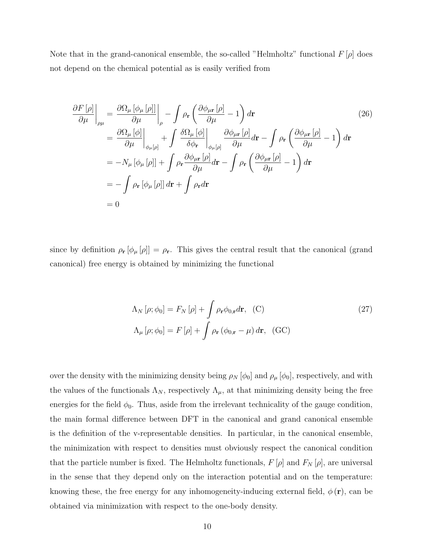Note that in the grand-canonical ensemble, the so-called "Helmholtz" functional  $F[\rho]$  does not depend on the chemical potential as is easily verified from

$$
\frac{\partial F[\rho]}{\partial \mu}\Big|_{\rho\mu} = \frac{\partial \Omega_{\mu}[\phi_{\mu}[\rho]]}{\partial \mu}\Big|_{\rho} - \int \rho_{\mathbf{r}} \left(\frac{\partial \phi_{\mu\mathbf{r}}[\rho]}{\partial \mu} - 1\right) d\mathbf{r}
$$
\n
$$
= \frac{\partial \Omega_{\mu}[\phi]}{\partial \mu}\Big|_{\phi_{\mu}[\rho]} + \int \frac{\partial \Omega_{\mu}[\phi]}{\partial \phi_{\mathbf{r}}}\Big|_{\phi_{\mu}[\rho]} + \frac{\partial \phi_{\mu\mathbf{r}}[\rho]}{\partial \phi_{\mu}[\rho]} d\mathbf{r} - \int \rho_{\mathbf{r}} \left(\frac{\partial \phi_{\mu\mathbf{r}}[\rho]}{\partial \mu} - 1\right) d\mathbf{r}
$$
\n
$$
= -N_{\mu}[\phi_{\mu}[\rho]] + \int \rho_{\mathbf{r}} \frac{\partial \phi_{\mu\mathbf{r}}[\rho]}{\partial \mu} d\mathbf{r} - \int \rho_{\mathbf{r}} \left(\frac{\partial \phi_{\mu\mathbf{r}}[\rho]}{\partial \mu} - 1\right) d\mathbf{r}
$$
\n
$$
= -\int \rho_{\mathbf{r}}[\phi_{\mu}[\rho]] d\mathbf{r} + \int \rho_{\mathbf{r}} d\mathbf{r}
$$
\n
$$
= 0
$$
\n(26)

since by definition  $\rho_{\bf r} [\phi_\mu [\rho]] = \rho_{\bf r}$ . This gives the central result that the canonical (grand canonical) free energy is obtained by minimizing the functional

$$
\Lambda_N [\rho; \phi_0] = F_N [\rho] + \int \rho_r \phi_{0,r} d\mathbf{r}, \quad (C)
$$
  

$$
\Lambda_\mu [\rho; \phi_0] = F [\rho] + \int \rho_r (\phi_{0,r} - \mu) d\mathbf{r}, \quad (GC)
$$
 (27)

over the density with the minimizing density being  $\rho_N [\phi_0]$  and  $\rho_\mu [\phi_0]$ , respectively, and with the values of the functionals  $\Lambda_N$ , respectively  $\Lambda_\mu$ , at that minimizing density being the free energies for the field  $\phi_0$ . Thus, aside from the irrelevant technicality of the gauge condition, the main formal difference between DFT in the canonical and grand canonical ensemble is the definition of the v-representable densities. In particular, in the canonical ensemble, the minimization with respect to densities must obviously respect the canonical condition that the particle number is fixed. The Helmholtz functionals,  $F[\rho]$  and  $F_N[\rho]$ , are universal in the sense that they depend only on the interaction potential and on the temperature: knowing these, the free energy for any inhomogeneity-inducing external field,  $\phi(\mathbf{r})$ , can be obtained via minimization with respect to the one-body density.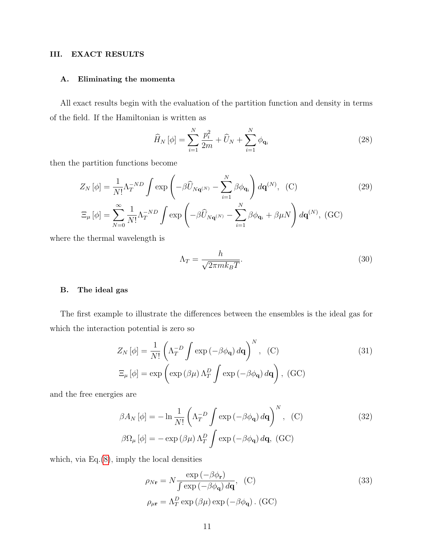# III. EXACT RESULTS

# A. Eliminating the momenta

All exact results begin with the evaluation of the partition function and density in terms of the field. If the Hamiltonian is written as

$$
\widehat{H}_N\left[\phi\right] = \sum_{i=1}^N \frac{p_i^2}{2m} + \widehat{U}_N + \sum_{i=1}^N \phi_{\mathbf{q}_i} \tag{28}
$$

then the partition functions become

$$
Z_N[\phi] = \frac{1}{N!} \Lambda_T^{-ND} \int \exp\left(-\beta \widehat{U}_{N\mathbf{q}^{(N)}} - \sum_{i=1}^N \beta \phi_{\mathbf{q}_i}\right) d\mathbf{q}^{(N)}, \quad (C)
$$
(29)  

$$
\Xi_\mu[\phi] = \sum_{N=0}^\infty \frac{1}{N!} \Lambda_T^{-ND} \int \exp\left(-\beta \widehat{U}_{N\mathbf{q}^{(N)}} - \sum_{i=1}^N \beta \phi_{\mathbf{q}_i} + \beta \mu N\right) d\mathbf{q}^{(N)}, \quad (GC)
$$

where the thermal wavelength is

$$
\Lambda_T = \frac{h}{\sqrt{2\pi mk_B T}}.\tag{30}
$$

# B. The ideal gas

The first example to illustrate the differences between the ensembles is the ideal gas for which the interaction potential is zero so

$$
Z_N [\phi] = \frac{1}{N!} \left( \Lambda_T^{-D} \int \exp \left( -\beta \phi_{\mathbf{q}} \right) d\mathbf{q} \right)^N, (C)
$$
  

$$
\Xi_{\mu} [\phi] = \exp \left( \exp \left( \beta \mu \right) \Lambda_T^D \int \exp \left( -\beta \phi_{\mathbf{q}} \right) d\mathbf{q} \right), (GC)
$$
 (31)

and the free energies are

$$
\beta A_N [\phi] = -\ln \frac{1}{N!} \left( \Lambda_T^{-D} \int \exp \left( -\beta \phi_{\mathbf{q}} \right) d\mathbf{q} \right)^N, (C)
$$
\n
$$
\beta \Omega_\mu [\phi] = -\exp \left( \beta \mu \right) \Lambda_T^D \int \exp \left( -\beta \phi_{\mathbf{q}} \right) d\mathbf{q}, (GC)
$$
\n(32)

which, via  $Eq.(8)$  $Eq.(8)$ , imply the local densities

$$
\rho_{N\mathbf{r}} = N \frac{\exp(-\beta \phi_{\mathbf{r}})}{\int \exp(-\beta \phi_{\mathbf{q}}) d\mathbf{q}}, \quad (C)
$$
  

$$
\rho_{\mu\mathbf{r}} = \Lambda_T^D \exp(\beta \mu) \exp(-\beta \phi_{\mathbf{q}}). \quad (GC)
$$
 (33)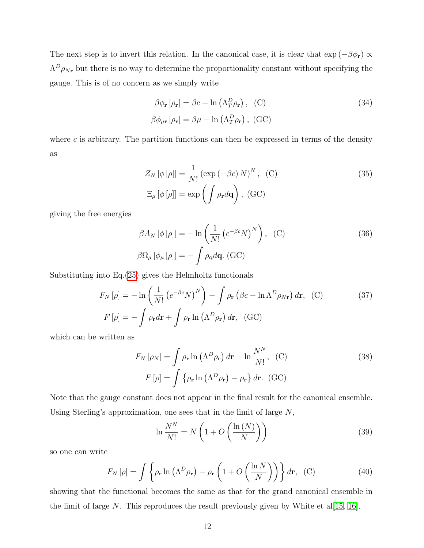The next step is to invert this relation. In the canonical case, it is clear that  $\exp(-\beta \phi_r) \propto$  $\Lambda^D \rho_{N_r}$  but there is no way to determine the proportionality constant without specifying the gauge. This is of no concern as we simply write

$$
\beta \phi_{\mathbf{r}} [\rho_{\mathbf{r}}] = \beta c - \ln (\Lambda_T^D \rho_{\mathbf{r}}), \quad (C)
$$
  

$$
\beta \phi_{\mu \mathbf{r}} [\rho_{\mathbf{r}}] = \beta \mu - \ln (\Lambda_T^D \rho_{\mathbf{r}}), \quad (GC)
$$
 (34)

where  $c$  is arbitrary. The partition functions can then be expressed in terms of the density as

$$
Z_N\left[\phi\left[\rho\right]\right] = \frac{1}{N!} \left(\exp\left(-\beta c\right) N\right)^N, \quad \text{(C)}
$$
\n
$$
\Xi_\mu\left[\phi\left[\rho\right]\right] = \exp\left(\int \rho_r d\mathbf{q}\right), \quad \text{(GC)}
$$
\n(35)

giving the free energies

$$
\beta A_N [\phi[\rho]] = -\ln\left(\frac{1}{N!} \left(e^{-\beta c} N\right)^N\right), (C)
$$
\n
$$
\beta \Omega_\mu [\phi_\mu[\rho]] = -\int \rho_\mathbf{q} d\mathbf{q}. (GC)
$$
\n(36)

Substituting into Eq.[\(25\)](#page-8-0) gives the Helmholtz functionals

$$
F_N[\rho] = -\ln\left(\frac{1}{N!} \left(e^{-\beta c} N\right)^N\right) - \int \rho_{\mathbf{r}} \left(\beta c - \ln \Lambda^D \rho_{N\mathbf{r}}\right) d\mathbf{r}, \quad (C)
$$
\n
$$
F[\rho] = -\int \rho_{\mathbf{r}} d\mathbf{r} + \int \rho_{\mathbf{r}} \ln \left(\Lambda^D \rho_{\mathbf{r}}\right) d\mathbf{r}, \quad (GC)
$$
\n(37)

which can be written as

$$
F_N[\rho_N] = \int \rho_{\mathbf{r}} \ln(\Lambda^D \rho_{\mathbf{r}}) d\mathbf{r} - \ln \frac{N^N}{N!}, \quad (C)
$$
\n
$$
F[\rho] = \int {\rho_{\mathbf{r}} \ln(\Lambda^D \rho_{\mathbf{r}}) - \rho_{\mathbf{r}}} d\mathbf{r}. \quad (GC)
$$
\n(38)

Note that the gauge constant does not appear in the final result for the canonical ensemble. Using Sterling's approximation, one sees that in the limit of large  $N$ ,

<span id="page-11-0"></span>
$$
\ln \frac{N^N}{N!} = N \left( 1 + O\left(\frac{\ln \left(N\right)}{N}\right) \right) \tag{39}
$$

so one can write

$$
F_N[\rho] = \int \left\{ \rho_r \ln \left( \Lambda^D \rho_r \right) - \rho_r \left( 1 + O\left( \frac{\ln N}{N} \right) \right) \right\} d\mathbf{r}, \quad (C) \tag{40}
$$

showing that the functional becomes the same as that for the grand canonical ensemble in the limit of large N. This reproduces the result previously given by White et al.[\[15,](#page-24-11) [16\]](#page-24-12).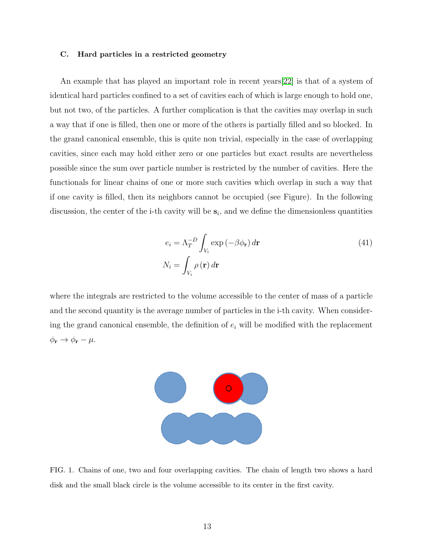#### C. Hard particles in a restricted geometry

An example that has played an important role in recent years[\[22\]](#page-25-4) is that of a system of identical hard particles confined to a set of cavities each of which is large enough to hold one, but not two, of the particles. A further complication is that the cavities may overlap in such a way that if one is filled, then one or more of the others is partially filled and so blocked. In the grand canonical ensemble, this is quite non trivial, especially in the case of overlapping cavities, since each may hold either zero or one particles but exact results are nevertheless possible since the sum over particle number is restricted by the number of cavities. Here the functionals for linear chains of one or more such cavities which overlap in such a way that if one cavity is filled, then its neighbors cannot be occupied (see Figure). In the following discussion, the center of the i-th cavity will be  $s_i$ , and we define the dimensionless quantities

$$
e_{i} = \Lambda_{T}^{-D} \int_{V_{i}} \exp\left(-\beta \phi_{\mathbf{r}}\right) d\mathbf{r}
$$
\n
$$
N_{i} = \int_{V_{i}} \rho\left(\mathbf{r}\right) d\mathbf{r}
$$
\n(41)

where the integrals are restricted to the volume accessible to the center of mass of a particle and the second quantity is the average number of particles in the i-th cavity. When considering the grand canonical ensemble, the definition of  $e_i$  will be modified with the replacement  $\phi_{\mathbf{r}} \to \phi_{\mathbf{r}} - \mu$ .



FIG. 1. Chains of one, two and four overlapping cavities. The chain of length two shows a hard disk and the small black circle is the volume accessible to its center in the first cavity.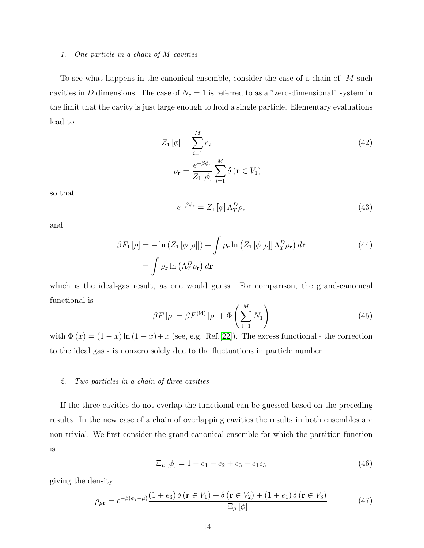#### 1. One particle in a chain of M cavities

To see what happens in the canonical ensemble, consider the case of a chain of M such cavities in D dimensions. The case of  $N_c = 1$  is referred to as a "zero-dimensional" system in the limit that the cavity is just large enough to hold a single particle. Elementary evaluations lead to

$$
Z_1[\phi] = \sum_{i=1}^{M} e_i
$$
  

$$
\rho_{\mathbf{r}} = \frac{e^{-\beta \phi_{\mathbf{r}}}}{Z_1[\phi]} \sum_{i=1}^{M} \delta(\mathbf{r} \in V_1)
$$
 (42)

so that

$$
e^{-\beta \phi_{\mathbf{r}}} = Z_1 [\phi] \Lambda_T^D \rho_{\mathbf{r}} \tag{43}
$$

and

$$
\beta F_1 [\rho] = -\ln \left( Z_1 [\phi [\rho]] \right) + \int \rho_{\mathbf{r}} \ln \left( Z_1 [\phi [\rho]] \Lambda_T^D \rho_{\mathbf{r}} \right) d\mathbf{r}
$$
\n
$$
= \int \rho_{\mathbf{r}} \ln \left( \Lambda_T^D \rho_{\mathbf{r}} \right) d\mathbf{r}
$$
\n(44)

which is the ideal-gas result, as one would guess. For comparison, the grand-canonical functional is

<span id="page-13-0"></span>
$$
\beta F\left[\rho\right] = \beta F^{(\rm id)}\left[\rho\right] + \Phi\left(\sum_{i=1}^{M} N_{1}\right) \tag{45}
$$

with  $\Phi(x) = (1-x)\ln(1-x) + x$  (see, e.g. Ref.[\[22\]](#page-25-4)). The excess functional - the correction to the ideal gas - is nonzero solely due to the fluctuations in particle number.

# 2. Two particles in a chain of three cavities

If the three cavities do not overlap the functional can be guessed based on the preceding results. In the new case of a chain of overlapping cavities the results in both ensembles are non-trivial. We first consider the grand canonical ensemble for which the partition function is

$$
\Xi_{\mu}[\phi] = 1 + e_1 + e_2 + e_3 + e_1 e_3 \tag{46}
$$

giving the density

$$
\rho_{\mu \mathbf{r}} = e^{-\beta(\phi_{\mathbf{r}} - \mu)} \frac{(1 + e_3) \,\delta\left(\mathbf{r} \in V_1\right) + \delta\left(\mathbf{r} \in V_2\right) + (1 + e_1) \,\delta\left(\mathbf{r} \in V_3\right)}{\Xi_{\mu} \left[\phi\right]} \tag{47}
$$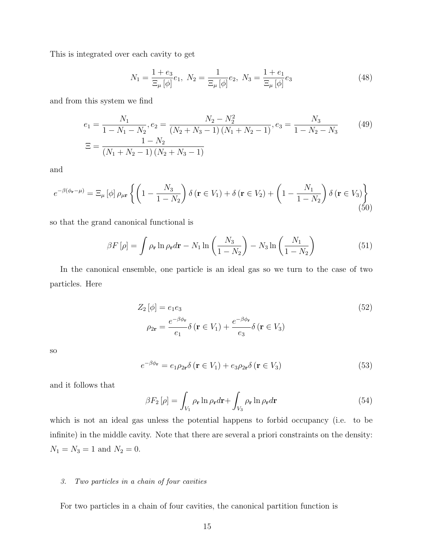This is integrated over each cavity to get

$$
N_1 = \frac{1 + e_3}{\Xi_{\mu} [\phi]} e_1, \ N_2 = \frac{1}{\Xi_{\mu} [\phi]} e_2, \ N_3 = \frac{1 + e_1}{\Xi_{\mu} [\phi]} e_3 \tag{48}
$$

and from this system we find

$$
e_1 = \frac{N_1}{1 - N_1 - N_2}, e_2 = \frac{N_2 - N_2^2}{(N_2 + N_3 - 1)(N_1 + N_2 - 1)}, e_3 = \frac{N_3}{1 - N_2 - N_3}
$$
(49)  

$$
\Xi = \frac{1 - N_2}{(N_1 + N_2 - 1)(N_2 + N_3 - 1)}
$$

and

$$
e^{-\beta(\phi_{\mathbf{r}}-\mu)} = \Xi_{\mu}[\phi]\rho_{\mu\mathbf{r}}\left\{ \left(1 - \frac{N_3}{1 - N_2}\right)\delta\left(\mathbf{r} \in V_1\right) + \delta\left(\mathbf{r} \in V_2\right) + \left(1 - \frac{N_1}{1 - N_2}\right)\delta\left(\mathbf{r} \in V_3\right) \right\}
$$
(50)

so that the grand canonical functional is

$$
\beta F\left[\rho\right] = \int \rho_{\mathbf{r}} \ln \rho_{\mathbf{r}} d\mathbf{r} - N_1 \ln \left(\frac{N_3}{1 - N_2}\right) - N_3 \ln \left(\frac{N_1}{1 - N_2}\right) \tag{51}
$$

In the canonical ensemble, one particle is an ideal gas so we turn to the case of two particles. Here

$$
Z_2 [\phi] = e_1 e_3
$$
  
\n
$$
\rho_{2\mathbf{r}} = \frac{e^{-\beta \phi_{\mathbf{r}}}}{e_1} \delta (\mathbf{r} \in V_1) + \frac{e^{-\beta \phi_{\mathbf{r}}}}{e_3} \delta (\mathbf{r} \in V_3)
$$
\n(52)

so

$$
e^{-\beta \phi_{\mathbf{r}}} = e_1 \rho_{2\mathbf{r}} \delta \left( \mathbf{r} \in V_1 \right) + e_3 \rho_{2\mathbf{r}} \delta \left( \mathbf{r} \in V_3 \right) \tag{53}
$$

and it follows that

$$
\beta F_2[\rho] = \int_{V_1} \rho_{\mathbf{r}} \ln \rho_{\mathbf{r}} d\mathbf{r} + \int_{V_3} \rho_{\mathbf{r}} \ln \rho_{\mathbf{r}} d\mathbf{r}
$$
 (54)

which is not an ideal gas unless the potential happens to forbid occupancy (i.e. to be infinite) in the middle cavity. Note that there are several a priori constraints on the density:  $N_1 = N_3 = 1$  and  $N_2 = 0$ .

# 3. Two particles in a chain of four cavities

For two particles in a chain of four cavities, the canonical partition function is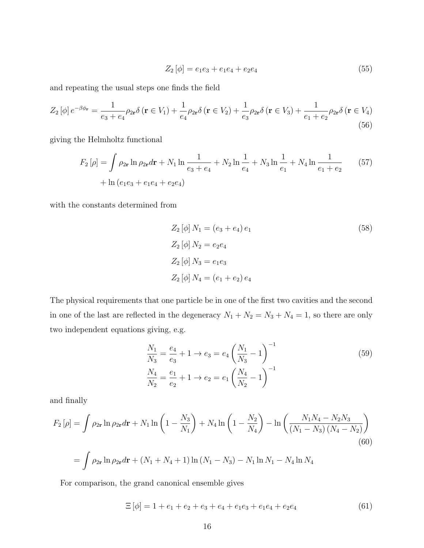$$
Z_2[\phi] = e_1 e_3 + e_1 e_4 + e_2 e_4 \tag{55}
$$

and repeating the usual steps one finds the field

$$
Z_2[\phi] e^{-\beta \phi_{\mathbf{r}}} = \frac{1}{e_3 + e_4} \rho_{2\mathbf{r}} \delta(\mathbf{r} \in V_1) + \frac{1}{e_4} \rho_{2\mathbf{r}} \delta(\mathbf{r} \in V_2) + \frac{1}{e_3} \rho_{2\mathbf{r}} \delta(\mathbf{r} \in V_3) + \frac{1}{e_1 + e_2} \rho_{2\mathbf{r}} \delta(\mathbf{r} \in V_4)
$$
\n(56)

giving the Helmholtz functional

$$
F_2[\rho] = \int \rho_{2r} \ln \rho_{2r} dr + N_1 \ln \frac{1}{e_3 + e_4} + N_2 \ln \frac{1}{e_4} + N_3 \ln \frac{1}{e_1} + N_4 \ln \frac{1}{e_1 + e_2} \qquad (57)
$$
  
+  $\ln (e_1 e_3 + e_1 e_4 + e_2 e_4)$ 

with the constants determined from

$$
Z_2 [\phi] N_1 = (e_3 + e_4) e_1
$$
  
\n
$$
Z_2 [\phi] N_2 = e_2 e_4
$$
  
\n
$$
Z_2 [\phi] N_3 = e_1 e_3
$$
  
\n
$$
Z_2 [\phi] N_4 = (e_1 + e_2) e_4
$$
  
\n(58)

The physical requirements that one particle be in one of the first two cavities and the second in one of the last are reflected in the degeneracy  $N_1 + N_2 = N_3 + N_4 = 1$ , so there are only two independent equations giving, e.g.

$$
\frac{N_1}{N_3} = \frac{e_4}{e_3} + 1 \to e_3 = e_4 \left(\frac{N_1}{N_3} - 1\right)^{-1}
$$
\n
$$
\frac{N_4}{N_2} = \frac{e_1}{e_2} + 1 \to e_2 = e_1 \left(\frac{N_4}{N_2} - 1\right)^{-1}
$$
\n(59)

and finally

$$
F_2\left[\rho\right] = \int \rho_{2r} \ln \rho_{2r} d\mathbf{r} + N_1 \ln \left(1 - \frac{N_3}{N_1}\right) + N_4 \ln \left(1 - \frac{N_2}{N_4}\right) - \ln \left(\frac{N_1 N_4 - N_2 N_3}{\left(N_1 - N_3\right) \left(N_4 - N_2\right)}\right)
$$
\n
$$
\tag{60}
$$

$$
= \int \rho_{2r} \ln \rho_{2r} dr + (N_1 + N_4 + 1) \ln (N_1 - N_3) - N_1 \ln N_1 - N_4 \ln N_4
$$

For comparison, the grand canonical ensemble gives

$$
\Xi[\phi] = 1 + e_1 + e_2 + e_3 + e_4 + e_1 e_3 + e_1 e_4 + e_2 e_4 \tag{61}
$$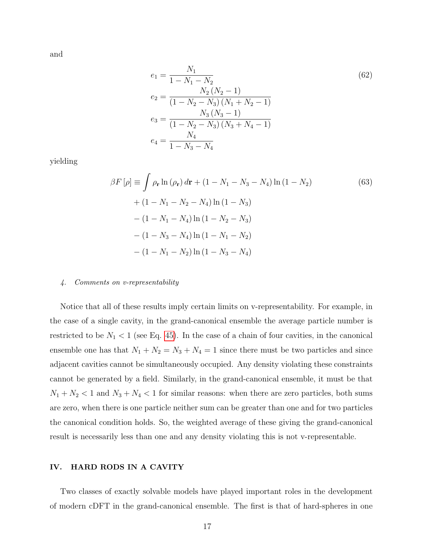and

$$
e_1 = \frac{N_1}{1 - N_1 - N_2}
$$
  
\n
$$
e_2 = \frac{N_2 (N_2 - 1)}{(1 - N_2 - N_3) (N_1 + N_2 - 1)}
$$
  
\n
$$
e_3 = \frac{N_3 (N_3 - 1)}{(1 - N_2 - N_3) (N_3 + N_4 - 1)}
$$
  
\n
$$
e_4 = \frac{N_4}{1 - N_3 - N_4}
$$
  
\n(62)

yielding

$$
\beta F[\rho] \equiv \int \rho_{\mathbf{r}} \ln (\rho_{\mathbf{r}}) d\mathbf{r} + (1 - N_1 - N_3 - N_4) \ln (1 - N_2)
$$
(63)  
+ (1 - N\_1 - N\_2 - N\_4) \ln (1 - N\_3)  
- (1 - N\_1 - N\_4) \ln (1 - N\_2 - N\_3)  
- (1 - N\_3 - N\_4) \ln (1 - N\_1 - N\_2)  
- (1 - N\_1 - N\_2) \ln (1 - N\_3 - N\_4)

#### 4. Comments on v-representability

Notice that all of these results imply certain limits on v-representability. For example, in the case of a single cavity, in the grand-canonical ensemble the average particle number is restricted to be  $N_1 < 1$  (see Eq. [45\)](#page-13-0). In the case of a chain of four cavities, in the canonical ensemble one has that  $N_1 + N_2 = N_3 + N_4 = 1$  since there must be two particles and since adjacent cavities cannot be simultaneously occupied. Any density violating these constraints cannot be generated by a field. Similarly, in the grand-canonical ensemble, it must be that  $N_1 + N_2 < 1$  and  $N_3 + N_4 < 1$  for similar reasons: when there are zero particles, both sums are zero, when there is one particle neither sum can be greater than one and for two particles the canonical condition holds. So, the weighted average of these giving the grand-canonical result is necessarily less than one and any density violating this is not v-representable.

# IV. HARD RODS IN A CAVITY

Two classes of exactly solvable models have played important roles in the development of modern cDFT in the grand-canonical ensemble. The first is that of hard-spheres in one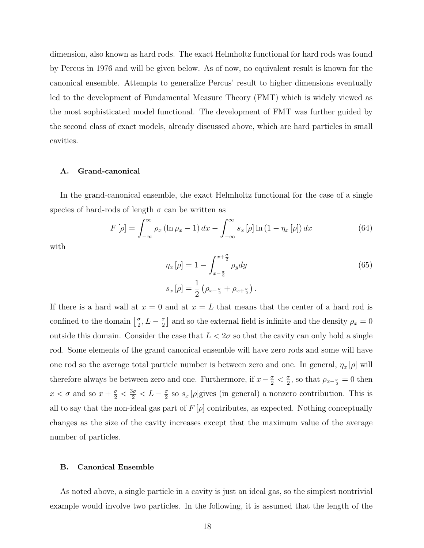dimension, also known as hard rods. The exact Helmholtz functional for hard rods was found by Percus in 1976 and will be given below. As of now, no equivalent result is known for the canonical ensemble. Attempts to generalize Percus' result to higher dimensions eventually led to the development of Fundamental Measure Theory (FMT) which is widely viewed as the most sophisticated model functional. The development of FMT was further guided by the second class of exact models, already discussed above, which are hard particles in small cavities.

#### A. Grand-canonical

In the grand-canonical ensemble, the exact Helmholtz functional for the case of a single species of hard-rods of length  $\sigma$  can be written as

$$
F\left[\rho\right] = \int_{-\infty}^{\infty} \rho_x \left(\ln \rho_x - 1\right) dx - \int_{-\infty}^{\infty} s_x \left[\rho\right] \ln \left(1 - \eta_x \left[\rho\right]\right) dx \tag{64}
$$

with

<span id="page-17-0"></span>
$$
\eta_x \left[ \rho \right] = 1 - \int_{x - \frac{\sigma}{2}}^{x + \frac{\sigma}{2}} \rho_y dy
$$
\n
$$
s_x \left[ \rho \right] = \frac{1}{2} \left( \rho_{x - \frac{\sigma}{2}} + \rho_{x + \frac{\sigma}{2}} \right).
$$
\n(65)

If there is a hard wall at  $x = 0$  and at  $x = L$  that means that the center of a hard rod is confined to the domain  $\lceil \frac{\sigma}{2} \rceil$  $\frac{\sigma}{2}, L - \frac{\sigma}{2}$  $\frac{\sigma}{2}$  and so the external field is infinite and the density  $\rho_x = 0$ outside this domain. Consider the case that  $L < 2\sigma$  so that the cavity can only hold a single rod. Some elements of the grand canonical ensemble will have zero rods and some will have one rod so the average total particle number is between zero and one. In general,  $\eta_x[\rho]$  will therefore always be between zero and one. Furthermore, if  $x - \frac{\sigma}{2} < \frac{\sigma}{2}$  $\frac{\sigma}{2}$ , so that  $\rho_{x-\frac{\sigma}{2}}=0$  then  $x < \sigma$  and so  $x + \frac{\sigma}{2} < \frac{3\sigma}{2} < L - \frac{\sigma}{2}$  $\frac{\sigma}{2}$  so  $s_x$  [ $\rho$ ]gives (in general) a nonzero contribution. This is all to say that the non-ideal gas part of  $F[\rho]$  contributes, as expected. Nothing conceptually changes as the size of the cavity increases except that the maximum value of the average number of particles.

## B. Canonical Ensemble

As noted above, a single particle in a cavity is just an ideal gas, so the simplest nontrivial example would involve two particles. In the following, it is assumed that the length of the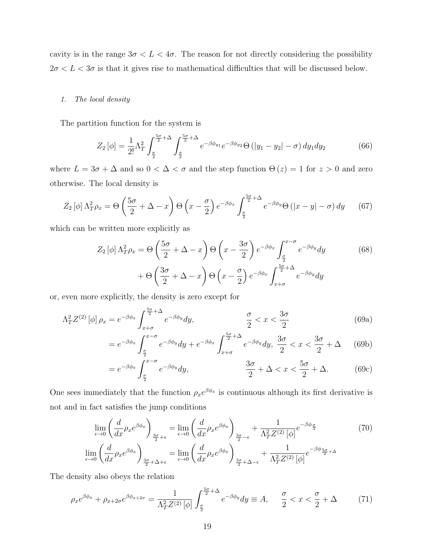cavity is in the range  $3\sigma < L < 4\sigma$ . The reason for not directly considering the possibility  $2\sigma < L < 3\sigma$  is that it gives rise to mathematical difficulties that will be discussed below.

# 1. The local density

The partition function for the system is

$$
Z_2\left[\phi\right] = \frac{1}{2!} \Lambda_T^2 \int_{\frac{\sigma}{2}}^{\frac{5\sigma}{2} + \Delta} \int_{\frac{\sigma}{2}}^{\frac{5\sigma}{2} + \Delta} e^{-\beta \phi_{y_1}} e^{-\beta \phi_{y_2}} \Theta\left(|y_1 - y_2| - \sigma\right) dy_1 dy_2 \tag{66}
$$

where  $L = 3\sigma + \Delta$  and so  $0 < \Delta < \sigma$  and the step function  $\Theta(z) = 1$  for  $z > 0$  and zero otherwise. The local density is

$$
Z_2\left[\phi\right]\Lambda_T^2\rho_x = \Theta\left(\frac{5\sigma}{2} + \Delta - x\right)\Theta\left(x - \frac{\sigma}{2}\right)e^{-\beta\phi_x}\int_{\frac{\sigma}{2}}^{\frac{5\sigma}{2} + \Delta} e^{-\beta\phi_y}\Theta\left(|x - y| - \sigma\right)dy\tag{67}
$$

which can be written more explicitly as

$$
Z_2\left[\phi\right]\Lambda_T^2\rho_x = \Theta\left(\frac{5\sigma}{2} + \Delta - x\right)\Theta\left(x - \frac{3\sigma}{2}\right)e^{-\beta\phi_x}\int_{\frac{\sigma}{2}}^{x - \sigma} e^{-\beta\phi_y}dy
$$
\n
$$
+ \Theta\left(\frac{3\sigma}{2} + \Delta - x\right)\Theta\left(x - \frac{\sigma}{2}\right)e^{-\beta\phi_x}\int_{x + \sigma}^{\frac{5\sigma}{2} + \Delta} e^{-\beta\phi_y}dy
$$
\n(68)

or, even more explicitly, the density is zero except for

$$
\Lambda_T^2 Z^{(2)}\left[\phi\right] \rho_x = e^{-\beta \phi_x} \int_{x+\sigma}^{\frac{5\sigma}{2}+\Delta} e^{-\beta \phi_y} dy, \qquad \frac{\sigma}{2} < x < \frac{3\sigma}{2} \tag{69a}
$$

$$
=e^{-\beta\phi_x}\int_{\frac{\sigma}{2}}^{x-\sigma}e^{-\beta\phi_y}dy+e^{-\beta\phi_x}\int_{x+\sigma}^{\frac{5\sigma}{2}+\Delta}e^{-\beta\phi_y}dy,\ \frac{3\sigma}{2}
$$

$$
=e^{-\beta\phi_x}\int_{\frac{\sigma}{2}}^{x-\sigma}e^{-\beta\phi_y}dy, \qquad \frac{3\sigma}{2}+\Delta < x < \frac{5\sigma}{2}+\Delta. \qquad (69c)
$$

One sees immediately that the function  $\rho_x e^{\beta \phi_x}$  is continuous although its first derivative is not and in fact satisfies the jump conditions

$$
\lim_{\epsilon \to 0} \left( \frac{d}{dx} \rho_x e^{\beta \phi_x} \right)_{\frac{3\sigma}{2} + \epsilon} = \lim_{\epsilon \to 0} \left( \frac{d}{dx} \rho_x e^{\beta \phi_x} \right)_{\frac{3\sigma}{2} - \epsilon} + \frac{1}{\Lambda_T^2 Z^{(2)} [\phi]} e^{-\beta \phi_{\frac{\sigma}{2}}} \tag{70}
$$
\n
$$
\lim_{\epsilon \to 0} \left( \frac{d}{dx} \rho_x e^{\beta \phi_x} \right)_{\frac{3\sigma}{2} + \Delta + \epsilon} = \lim_{\epsilon \to 0} \left( \frac{d}{dx} \rho_x e^{\beta \phi_x} \right)_{\frac{3\sigma}{2} + \Delta - \epsilon} + \frac{1}{\Lambda_T^2 Z^{(2)} [\phi]} e^{-\beta \phi_{\frac{5\sigma}{2} + \Delta}} \tag{70}
$$

The density also obeys the relation

$$
\rho_x e^{\beta \phi_x} + \rho_{x+2\sigma} e^{\beta \phi_{x+2\sigma}} = \frac{1}{\Lambda_T^2 Z^{(2)}[\phi]} \int_{\frac{\sigma}{2}}^{\frac{5\sigma}{2}+\Delta} e^{-\beta \phi_y} dy \equiv A, \quad \frac{\sigma}{2} < x < \frac{\sigma}{2} + \Delta \tag{71}
$$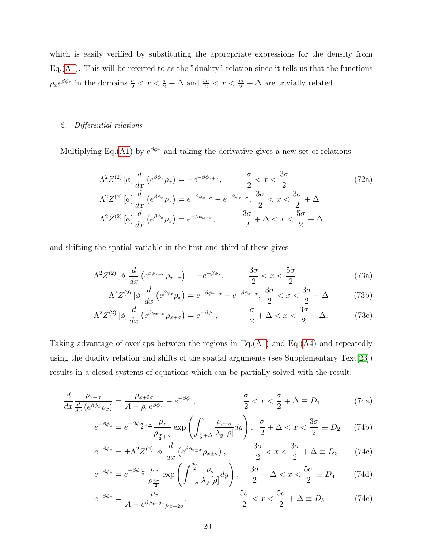which is easily verified by substituting the appropriate expressions for the density from Eq. $(A1)$ . This will be referred to as the "duality" relation since it tells us that the functions  $\rho_x e^{\beta \phi_x}$  in the domains  $\frac{\sigma}{2} < x < \frac{\sigma}{2} + \Delta$  and  $\frac{5\sigma}{2} < x < \frac{5\sigma}{2} + \Delta$  are trivially related.

# 2. Differential relations

Multiplying Eq.[\(A1\)](#page-28-0) by  $e^{\beta \phi_x}$  and taking the derivative gives a new set of relations

$$
\Lambda^{2}Z^{(2)}\left[\phi\right]\frac{d}{dx}\left(e^{\beta\phi_{x}}\rho_{x}\right) = -e^{-\beta\phi_{x+\sigma}}, \qquad \frac{\sigma}{2} < x < \frac{3\sigma}{2}
$$
\n
$$
\Lambda^{2}Z^{(2)}\left[\phi\right]\frac{d}{dx}\left(e^{\beta\phi_{x}}\rho_{x}\right) = e^{-\beta\phi_{x-\sigma}} - e^{-\beta\phi_{x+\sigma}}, \frac{3\sigma}{2} < x < \frac{3\sigma}{2} + \Delta
$$
\n
$$
\Lambda^{2}Z^{(2)}\left[\phi\right]\frac{d}{dx}\left(e^{\beta\phi_{x}}\rho_{x}\right) = e^{-\beta\phi_{x-\sigma}}, \qquad \frac{3\sigma}{2} + \Delta < x < \frac{5\sigma}{2} + \Delta
$$
\n(72a)

and shifting the spatial variable in the first and third of these gives

$$
\Lambda^2 Z^{(2)}\left[\phi\right] \frac{d}{dx} \left(e^{\beta \phi_{x-\sigma}} \rho_{x-\sigma}\right) = -e^{-\beta \phi_x}, \qquad \frac{3\sigma}{2} < x < \frac{5\sigma}{2} \tag{73a}
$$

<span id="page-19-0"></span>
$$
\Lambda^2 Z^{(2)}\left[\phi\right] \frac{d}{dx}\left(e^{\beta \phi_x} \rho_x\right) = e^{-\beta \phi_{x-\sigma}} - e^{-\beta \phi_{x+\sigma}}, \ \frac{3\sigma}{2} < x < \frac{3\sigma}{2} + \Delta \tag{73b}
$$

$$
\Lambda^2 Z^{(2)}\left[\phi\right] \frac{d}{dx} \left(e^{\beta \phi_{x+\sigma}} \rho_{x+\sigma}\right) = e^{-\beta \phi_x}, \qquad \frac{\sigma}{2} + \Delta < x < \frac{3\sigma}{2} + \Delta. \tag{73c}
$$

Taking advantage of overlaps between the regions in Eq.[\(A1\)](#page-28-0) and Eq.[\(A4\)](#page-28-1) and repeatedly using the duality relation and shifts of the spatial arguments (see Supplementary Text[\[23\]](#page-25-5)) results in a closed systems of equations which can be partially solved with the result:

$$
\frac{d}{dx}\frac{\rho_{x+\sigma}}{\frac{d}{dx}\left(e^{\beta\phi_x}\rho_x\right)} = \frac{\rho_{x+2\sigma}}{A - \rho_x e^{\beta\phi_x}} - e^{-\beta\phi_x}, \qquad \frac{\sigma}{2} < x < \frac{\sigma}{2} + \Delta \equiv D_1 \tag{74a}
$$

$$
e^{-\beta \phi_x} = e^{-\beta \phi_{\frac{\sigma}{2}+\Delta}} \frac{\rho_x}{\rho_{\frac{\sigma}{2}+\Delta}} \exp\left(\int_{\frac{\sigma}{2}+\Delta}^x \frac{\rho_{y+\sigma}}{\lambda_y[\rho]} dy\right), \quad \frac{\sigma}{2} + \Delta < x < \frac{3\sigma}{2} \equiv D_2 \tag{74b}
$$

$$
e^{-\beta \phi_x} = \pm \Lambda^2 Z^{(2)} \left[ \phi \right] \frac{d}{dx} \left( e^{\beta \phi_{x \pm \sigma}} \rho_{x \pm \sigma} \right), \qquad \frac{3\sigma}{2} < x < \frac{3\sigma}{2} + \Delta \equiv D_3 \tag{74c}
$$

$$
e^{-\beta \phi_x} = e^{-\beta \phi_{\frac{5\sigma}{2}}} \frac{\rho_x}{\rho_{\frac{5\sigma}{2}}} \exp\left(\int_{x-\sigma}^{\frac{3\sigma}{2}} \frac{\rho_y}{\lambda_y[\rho]} dy\right), \quad \frac{3\sigma}{2} + \Delta < x < \frac{5\sigma}{2} \equiv D_4 \tag{74d}
$$

$$
e^{-\beta \phi_x} = \frac{\rho_x}{A - e^{\beta \phi_{x-2\sigma}} \rho_{x-2\sigma}}, \qquad \frac{5\sigma}{2} < x < \frac{5\sigma}{2} + \Delta \equiv D_5 \tag{74e}
$$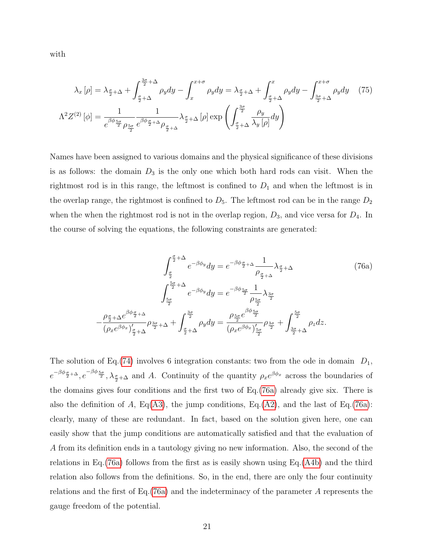with

$$
\lambda_x \left[ \rho \right] = \lambda_{\frac{\sigma}{2} + \Delta} + \int_{\frac{\sigma}{2} + \Delta}^{\frac{3\sigma}{2} + \Delta} \rho_y dy - \int_x^{x+\sigma} \rho_y dy = \lambda_{\frac{\sigma}{2} + \Delta} + \int_{\frac{\sigma}{2} + \Delta}^x \rho_y dy - \int_{\frac{3\sigma}{2} + \Delta}^{x+\sigma} \rho_y dy \quad (75)
$$

$$
\Lambda^2 Z^{(2)} \left[ \phi \right] = \frac{1}{e^{\beta \phi_{\frac{5\sigma}{2}}}} e^{\beta \phi_{\frac{\sigma}{2} + \Delta}} \rho_{\frac{\sigma}{2} + \Delta} \left[ \rho \right] \exp \left( \int_{\frac{\sigma}{2} + \Delta}^{\frac{3\sigma}{2}} \frac{\rho_y}{\lambda_y \left[ \rho \right]} dy \right)
$$

Names have been assigned to various domains and the physical significance of these divisions is as follows: the domain  $D_3$  is the only one which both hard rods can visit. When the rightmost rod is in this range, the leftmost is confined to  $D_1$  and when the leftmost is in the overlap range, the rightmost is confined to  $D_5$ . The leftmost rod can be in the range  $D_2$ when the when the rightmost rod is not in the overlap region,  $D_3$ , and vice versa for  $D_4$ . In the course of solving the equations, the following constraints are generated:

<span id="page-20-0"></span>
$$
\int_{\frac{\sigma}{2}}^{\frac{\sigma}{2}+\Delta} e^{-\beta \phi_y} dy = e^{-\beta \phi_{\frac{\sigma}{2}+\Delta}} \frac{1}{\rho_{\frac{\sigma}{2}+\Delta}} \lambda_{\frac{\sigma}{2}+\Delta}
$$
(76a)  

$$
\int_{\frac{5\sigma}{2}}^{\frac{5\sigma}{2}+\Delta} e^{-\beta \phi_y} dy = e^{-\beta \phi_{\frac{5\sigma}{2}}}\frac{1}{\rho_{\frac{5\sigma}{2}}}\lambda_{\frac{3\sigma}{2}}
$$

$$
-\frac{\rho_{\frac{\sigma}{2}+\Delta} e^{\beta \phi_{\frac{\sigma}{2}+\Delta}}}{(\rho_x e^{\beta \phi_x})'_{\frac{\sigma}{2}+\Delta}} \rho_{\frac{3\sigma}{2}+\Delta} + \int_{\frac{\sigma}{2}+\Delta}^{\frac{3\sigma}{2}} \rho_y dy = \frac{\rho_{\frac{5\sigma}{2}} e^{\beta \phi_{\frac{5\sigma}{2}}}}{(\rho_x e^{\beta \phi_x})'_{\frac{5\sigma}{2}}}\rho_{\frac{3\sigma}{2}+\Delta} + \int_{\frac{3\sigma}{2}+\Delta}^{\frac{5\sigma}{2}} \rho_y dy = \frac{\rho_{\frac{5\sigma}{2}} e^{\beta \phi_{\frac{5\sigma}{2}}}}{(\rho_x e^{\beta \phi_x})'_{\frac{5\sigma}{2}}}\rho_{\frac{3\sigma}{2}+\Delta} + \int_{\frac{3\sigma}{2}+\Delta}^{\frac{5\sigma}{2}} \rho_y dy = \frac{\rho_{\frac{5\sigma}{2}}}{(\rho_x e^{\beta \phi_x})'_{\frac{5\sigma}{2}}}\rho_{\frac{3\sigma}{2}+\Delta}
$$

The solution of Eq.[\(74\)](#page-19-0) involves 6 integration constants: two from the ode in domain  $D_1$ ,  $e^{-\beta \phi_{\frac{\sigma}{2}+\Delta}}$ ,  $e^{-\beta \phi_{\frac{5\sigma}{2}}}$ ,  $\lambda_{\frac{\sigma}{2}+\Delta}$  and A. Continuity of the quantity  $\rho_x e^{\beta \phi_x}$  across the boundaries of the domains gives four conditions and the first two of Eq.[\(76a\)](#page-20-0) already give six. There is also the definition of A, Eq[\(A3\)](#page-28-2), the jump conditions, Eq.[\(A2\)](#page-28-3), and the last of Eq.[\(76a\)](#page-20-0): clearly, many of these are redundant. In fact, based on the solution given here, one can easily show that the jump conditions are automatically satisfied and that the evaluation of A from its definition ends in a tautology giving no new information. Also, the second of the relations in Eq.[\(76a\)](#page-20-0) follows from the first as is easily shown using Eq.[\(A4b\)](#page-28-4) and the third relation also follows from the definitions. So, in the end, there are only the four continuity relations and the first of Eq.[\(76a\)](#page-20-0) and the indeterminacy of the parameter A represents the gauge freedom of the potential.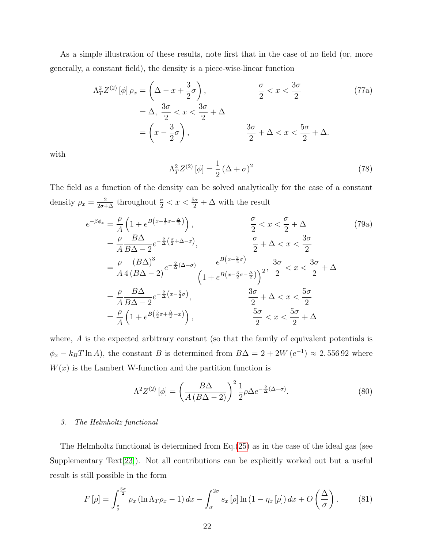As a simple illustration of these results, note first that in the case of no field (or, more generally, a constant field), the density is a piece-wise-linear function

$$
\Lambda_T^2 Z^{(2)}\left[\phi\right] \rho_x = \left(\Delta - x + \frac{3}{2}\sigma\right), \qquad \frac{\sigma}{2} < x < \frac{3\sigma}{2} \qquad (77a)
$$
\n
$$
= \Delta, \frac{3\sigma}{2} < x < \frac{3\sigma}{2} + \Delta
$$
\n
$$
= \left(x - \frac{3}{2}\sigma\right), \qquad \frac{3\sigma}{2} + \Delta < x < \frac{5\sigma}{2} + \Delta.
$$

with

$$
\Lambda_T^2 Z^{(2)}\left[\phi\right] = \frac{1}{2} \left(\Delta + \sigma\right)^2 \tag{78}
$$

The field as a function of the density can be solved analytically for the case of a constant density  $\rho_x = \frac{2}{2\sigma + \Delta}$  throughout  $\frac{\sigma}{2} < x < \frac{5\sigma}{2} + \Delta$  with the result

$$
e^{-\beta\phi_x} = \frac{\rho}{A} \left( 1 + e^{B\left(x - \frac{1}{2}\sigma - \frac{\Delta}{2}\right)} \right), \qquad \frac{\sigma}{2} < x < \frac{\sigma}{2} + \Delta \qquad (79a)
$$
\n
$$
= \frac{\rho}{A} \frac{B\Delta}{B\Delta - 2} e^{-\frac{2}{\Delta}\left(\frac{\sigma}{2} + \Delta - x\right)}, \qquad \frac{\sigma}{2} + \Delta < x < \frac{3\sigma}{2}
$$
\n
$$
= \frac{\rho}{A} \frac{(B\Delta)^3}{4(B\Delta - 2)} e^{-\frac{2}{\Delta}(\Delta - \sigma)} \frac{e^{B\left(x - \frac{3}{2}\sigma\right)}}{\left(1 + e^{B\left(x - \frac{3}{2}\sigma - \frac{\Delta}{2}\right)}\right)^2}, \frac{3\sigma}{2} < x < \frac{3\sigma}{2} + \Delta
$$
\n
$$
= \frac{\rho}{A} \frac{B\Delta}{B\Delta - 2} e^{-\frac{2}{\Delta}\left(x - \frac{5}{2}\sigma\right)}, \qquad \frac{3\sigma}{2} + \Delta < x < \frac{5\sigma}{2}
$$
\n
$$
= \frac{\rho}{A} \left(1 + e^{B\left(\frac{5}{2}\sigma + \frac{\Delta}{2} - x\right)}\right), \qquad \frac{5\sigma}{2} < x < \frac{5\sigma}{2} + \Delta
$$
\n(79a)

where, A is the expected arbitrary constant (so that the family of equivalent potentials is  $\phi_x - k_B T \ln A$ , the constant B is determined from  $B\Delta = 2 + 2W (e^{-1}) \approx 2.55692$  where  $W(x)$  is the Lambert W-function and the partition function is

$$
\Lambda^2 Z^{(2)}\left[\phi\right] = \left(\frac{B\Delta}{A\left(B\Delta - 2\right)}\right)^2 \frac{1}{2}\rho \Delta e^{-\frac{2}{\Delta}\left(\Delta - \sigma\right)}.\tag{80}
$$

## 3. The Helmholtz functional

The Helmholtz functional is determined from Eq.[\(25\)](#page-8-0) as in the case of the ideal gas (see Supplementary Text[\[23\]](#page-25-5)). Not all contributions can be explicitly worked out but a useful result is still possible in the form

<span id="page-21-0"></span>
$$
F\left[\rho\right] = \int_{\frac{\sigma}{2}}^{\frac{5\sigma}{2}} \rho_x \left(\ln \Lambda_T \rho_x - 1\right) dx - \int_{\sigma}^{2\sigma} s_x \left[\rho\right] \ln \left(1 - \eta_x \left[\rho\right]\right) dx + O\left(\frac{\Delta}{\sigma}\right). \tag{81}
$$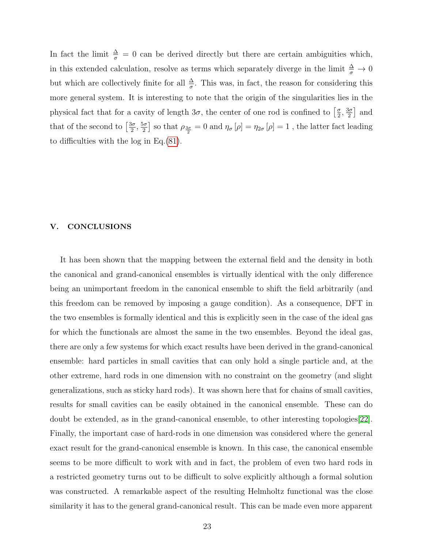In fact the limit  $\frac{\Delta}{\sigma} = 0$  can be derived directly but there are certain ambiguities which, in this extended calculation, resolve as terms which separately diverge in the limit  $\frac{\Delta}{\sigma} \to 0$ but which are collectively finite for all  $\frac{\Delta}{\sigma}$ . This was, in fact, the reason for considering this more general system. It is interesting to note that the origin of the singularities lies in the physical fact that for a cavity of length  $3\sigma$ , the center of one rod is confined to  $\lceil \frac{\sigma}{2} \rceil$  $\frac{\sigma}{2}, \frac{3\sigma}{2}$  $\frac{3\sigma}{2}$  and that of the second to  $\left[\frac{3\sigma}{2}\right]$  $\frac{3\sigma}{2}, \frac{5\sigma}{2}$  $\frac{2\delta\sigma}{2}$  so that  $\rho_{\frac{3\sigma}{2}} = 0$  and  $\eta_{\sigma}[\rho] = \eta_{2\sigma}[\rho] = 1$ , the latter fact leading to difficulties with the log in Eq.[\(81\)](#page-21-0).

# V. CONCLUSIONS

It has been shown that the mapping between the external field and the density in both the canonical and grand-canonical ensembles is virtually identical with the only difference being an unimportant freedom in the canonical ensemble to shift the field arbitrarily (and this freedom can be removed by imposing a gauge condition). As a consequence, DFT in the two ensembles is formally identical and this is explicitly seen in the case of the ideal gas for which the functionals are almost the same in the two ensembles. Beyond the ideal gas, there are only a few systems for which exact results have been derived in the grand-canonical ensemble: hard particles in small cavities that can only hold a single particle and, at the other extreme, hard rods in one dimension with no constraint on the geometry (and slight generalizations, such as sticky hard rods). It was shown here that for chains of small cavities, results for small cavities can be easily obtained in the canonical ensemble. These can do doubt be extended, as in the grand-canonical ensemble, to other interesting topologies[\[22\]](#page-25-4). Finally, the important case of hard-rods in one dimension was considered where the general exact result for the grand-canonical ensemble is known. In this case, the canonical ensemble seems to be more difficult to work with and in fact, the problem of even two hard rods in a restricted geometry turns out to be difficult to solve explicitly although a formal solution was constructed. A remarkable aspect of the resulting Helmholtz functional was the close similarity it has to the general grand-canonical result. This can be made even more apparent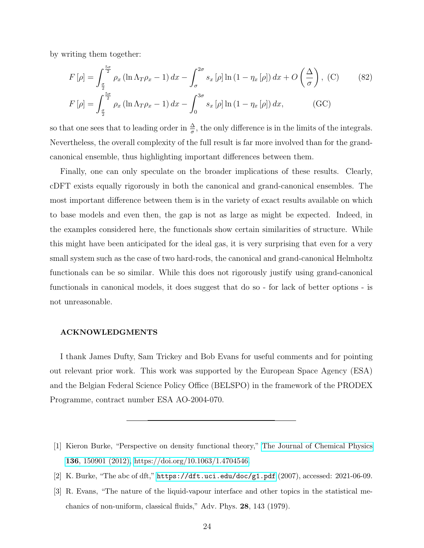by writing them together:

$$
F[\rho] = \int_{\frac{\sigma}{2}}^{\frac{5\sigma}{2}} \rho_x \left(\ln \Lambda_T \rho_x - 1\right) dx - \int_{\sigma}^{2\sigma} s_x [\rho] \ln \left(1 - \eta_x [\rho]\right) dx + O\left(\frac{\Delta}{\sigma}\right), \tag{82}
$$

$$
F[\rho] = \int_{-\frac{5\sigma}{2}}^{\frac{5\sigma}{2}} \rho_x \left(\ln \Lambda_T \rho_x - 1\right) dx - \int_{-\infty}^{3\sigma} s_x [\rho] \ln \left(1 - \eta_x [\rho]\right) dx, \tag{GC}
$$

$$
J_{\frac{\sigma}{2}}
$$
  $J_0$   
so that one sees that to leading order in  $\frac{\Delta}{\sigma}$ , the only difference is in the limits of the integrals.  
Nevertheless, the overall complexity of the full result is far more involved than for the grand-  
canonical ensemble, thus highlighting important differences between them.

0

Finally, one can only speculate on the broader implications of these results. Clearly, cDFT exists equally rigorously in both the canonical and grand-canonical ensembles. The most important difference between them is in the variety of exact results available on which to base models and even then, the gap is not as large as might be expected. Indeed, in the examples considered here, the functionals show certain similarities of structure. While this might have been anticipated for the ideal gas, it is very surprising that even for a very small system such as the case of two hard-rods, the canonical and grand-canonical Helmholtz functionals can be so similar. While this does not rigorously justify using grand-canonical functionals in canonical models, it does suggest that do so - for lack of better options - is not unreasonable.

#### ACKNOWLEDGMENTS

I thank James Dufty, Sam Trickey and Bob Evans for useful comments and for pointing out relevant prior work. This work was supported by the European Space Agency (ESA) and the Belgian Federal Science Policy Office (BELSPO) in the framework of the PRODEX Programme, contract number ESA AO-2004-070.

- <span id="page-23-0"></span>[1] Kieron Burke, "Perspective on density functional theory," [The Journal of Chemical Physics](http://dx.doi.org/10.1063/1.4704546) 136[, 150901 \(2012\),](http://dx.doi.org/10.1063/1.4704546) [https://doi.org/10.1063/1.4704546.](http://arxiv.org/abs/https://doi.org/10.1063/1.4704546)
- <span id="page-23-2"></span><span id="page-23-1"></span>[2] K. Burke, "The abc of dft," <https://dft.uci.edu/doc/g1.pdf> (2007), accessed: 2021-06-09.
- [3] R. Evans, "The nature of the liquid-vapour interface and other topics in the statistical mechanics of non-uniform, classical fluids," Adv. Phys. 28, 143 (1979).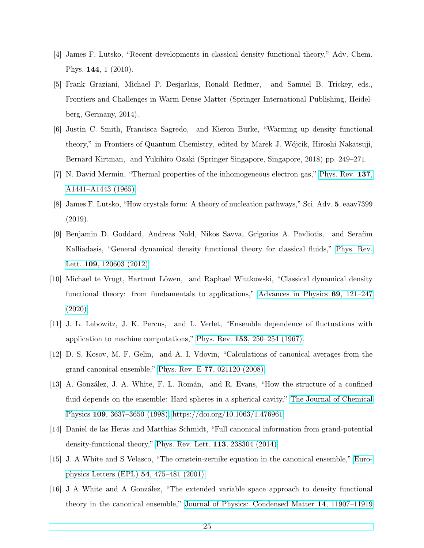- <span id="page-24-0"></span>[4] James F. Lutsko, "Recent developments in classical density functional theory," Adv. Chem. Phys. 144, 1 (2010).
- <span id="page-24-1"></span>[5] Frank Graziani, Michael P. Desjarlais, Ronald Redmer, and Samuel B. Trickey, eds., Frontiers and Challenges in Warm Dense Matter (Springer International Publishing, Heidelberg, Germany, 2014).
- <span id="page-24-2"></span>[6] Justin C. Smith, Francisca Sagredo, and Kieron Burke, "Warming up density functional theory," in Frontiers of Quantum Chemistry, edited by Marek J. Wójcik, Hiroshi Nakatsuji, Bernard Kirtman, and Yukihiro Ozaki (Springer Singapore, Singapore, 2018) pp. 249–271.
- <span id="page-24-3"></span>[7] N. David Mermin, "Thermal properties of the inhomogeneous electron gas," [Phys. Rev.](http://dx.doi.org/ 10.1103/PhysRev.137.A1441) 137, [A1441–A1443 \(1965\).](http://dx.doi.org/ 10.1103/PhysRev.137.A1441)
- <span id="page-24-4"></span>[8] James F. Lutsko, "How crystals form: A theory of nucleation pathways," Sci. Adv. 5, eaav7399 (2019).
- <span id="page-24-5"></span>[9] Benjamin D. Goddard, Andreas Nold, Nikos Savva, Grigorios A. Pavliotis, and Serafim Kalliadasis, "General dynamical density functional theory for classical fluids," [Phys. Rev.](http://dx.doi.org/ 10.1103/PhysRevLett.109.120603) Lett. **109**[, 120603 \(2012\).](http://dx.doi.org/ 10.1103/PhysRevLett.109.120603)
- <span id="page-24-6"></span>[10] Michael te Vrugt, Hartmut Löwen, and Raphael Wittkowski, "Classical dynamical density functional theory: from fundamentals to applications," [Advances in Physics](http://dx.doi.org/10.1080/00018732.2020.1854965) 69, 121–247 [\(2020\).](http://dx.doi.org/10.1080/00018732.2020.1854965)
- <span id="page-24-7"></span>[11] J. L. Lebowitz, J. K. Percus, and L. Verlet, "Ensemble dependence of fluctuations with application to machine computations," Phys. Rev. 153[, 250–254 \(1967\).](http://dx.doi.org/10.1103/PhysRev.153.250)
- <span id="page-24-8"></span>[12] D. S. Kosov, M. F. Gelin, and A. I. Vdovin, "Calculations of canonical averages from the grand canonical ensemble," Phys. Rev. E 77[, 021120 \(2008\).](http://dx.doi.org/ 10.1103/PhysRevE.77.021120)
- <span id="page-24-9"></span>[13] A. González, J. A. White, F. L. Román, and R. Evans, "How the structure of a confined fluid depends on the ensemble: Hard spheres in a spherical cavity," [The Journal of Chemical](http://dx.doi.org/10.1063/1.476961) Physics 109[, 3637–3650 \(1998\),](http://dx.doi.org/10.1063/1.476961) [https://doi.org/10.1063/1.476961.](http://arxiv.org/abs/https://doi.org/10.1063/1.476961)
- <span id="page-24-10"></span>[14] Daniel de las Heras and Matthias Schmidt, "Full canonical information from grand-potential density-functional theory," [Phys. Rev. Lett.](http://dx.doi.org/10.1103/PhysRevLett.113.238304) 113, 238304 (2014).
- <span id="page-24-11"></span>[15] J. A White and S Velasco, "The ornstein-zernike equation in the canonical ensemble," [Euro](http://dx.doi.org/ 10.1209/epl/i2001-00270-x)[physics Letters \(EPL\)](http://dx.doi.org/ 10.1209/epl/i2001-00270-x) 54, 475–481 (2001).
- <span id="page-24-12"></span>[16] J A White and A González, "The extended variable space approach to density functional theory in the canonical ensemble," [Journal of Physics: Condensed Matter](http://dx.doi.org/10.1088/0953-8984/14/46/302) 14, 11907–11919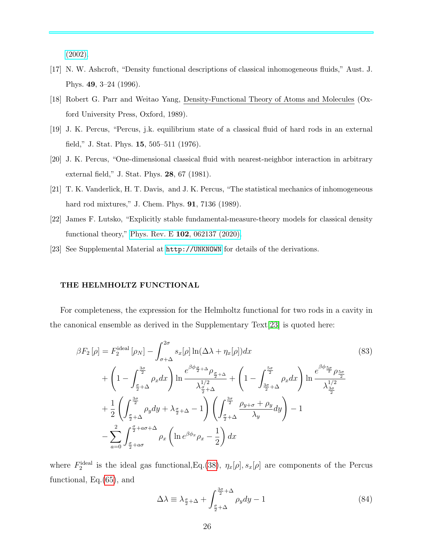[\(2002\).](http://dx.doi.org/10.1088/0953-8984/14/46/302)

- <span id="page-25-0"></span>[17] N. W. Ashcroft, "Density functional descriptions of classical inhomogeneous fluids," Aust. J. Phys. 49, 3–24 (1996).
- <span id="page-25-1"></span>[18] Robert G. Parr and Weitao Yang, Density-Functional Theory of Atoms and Molecules (Oxford University Press, Oxford, 1989).
- <span id="page-25-2"></span>[19] J. K. Percus, "Percus, j.k. equilibrium state of a classical fluid of hard rods in an external field," J. Stat. Phys. 15, 505–511 (1976).
- [20] J. K. Percus, "One-dimensional classical fluid with nearest-neighbor interaction in arbitrary external field," J. Stat. Phys. 28, 67 (1981).
- <span id="page-25-3"></span>[21] T. K. Vanderlick, H. T. Davis, and J. K. Percus, "The statistical mechanics of inhomogeneous hard rod mixtures," J. Chem. Phys. 91, 7136 (1989).
- <span id="page-25-4"></span>[22] James F. Lutsko, "Explicitly stable fundamental-measure-theory models for classical density functional theory," Phys. Rev. E 102[, 062137 \(2020\).](http://dx.doi.org/10.1103/PhysRevE.102.062137)
- <span id="page-25-5"></span>[23] See Supplemental Material at <http://UNKNOWN> for details of the derivations.

# THE HELMHOLTZ FUNCTIONAL

For completeness, the expression for the Helmholtz functional for two rods in a cavity in the canonical ensemble as derived in the Supplementary Text[\[23\]](#page-25-5) is quoted here:

$$
\beta F_2 [\rho] = F_2^{\text{ideal}} [\rho_N] - \int_{\sigma+\Delta}^{2\sigma} s_x [\rho] \ln(\Delta \lambda + \eta_x [\rho]) dx \tag{83}
$$
  
+ 
$$
\left(1 - \int_{\frac{\sigma}{2}+\Delta}^{\frac{3\sigma}{2}} \rho_x dx \right) \ln \frac{e^{\beta \phi} \frac{\sigma}{2} + \Delta \rho_{\frac{\sigma}{2}+\Delta}}{\lambda_{\frac{\sigma}{2}+\Delta}^{1/2}} + \left(1 - \int_{\frac{3\sigma}{2}+\Delta}^{\frac{5\sigma}{2}} \rho_x dx \right) \ln \frac{e^{\beta \phi} \frac{5\sigma}{2} \rho_{\frac{5\sigma}{2}}}{\lambda_{\frac{3\sigma}{2}}^{1/2}} + \frac{1}{2} \left( \int_{\frac{\sigma}{2}+\Delta}^{\frac{3\sigma}{2}} \rho_y dy + \lambda_{\frac{\sigma}{2}+\Delta} - 1 \right) \left( \int_{\frac{\sigma}{2}+\Delta}^{\frac{3\sigma}{2}} \frac{\rho_{y+\sigma} + \rho_y}{\lambda_y} dy \right) - 1 - \sum_{a=0}^{2} \int_{\frac{\sigma}{2}+a\sigma}^{\frac{\sigma}{2}+a\sigma+\Delta} \rho_x \left( \ln e^{\beta \phi_x} \rho_x - \frac{1}{2} \right) dx
$$

where  $F_2^{\text{ideal}}$  is the ideal gas functional, Eq.[\(38\)](#page-11-0),  $\eta_x[\rho]$ ,  $s_x[\rho]$  are components of the Percus functional, Eq.[\(65\)](#page-17-0), and

$$
\Delta\lambda \equiv \lambda_{\frac{\sigma}{2}+\Delta} + \int_{\frac{\sigma}{2}+\Delta}^{\frac{3\sigma}{2}+\Delta} \rho_y dy - 1 \tag{84}
$$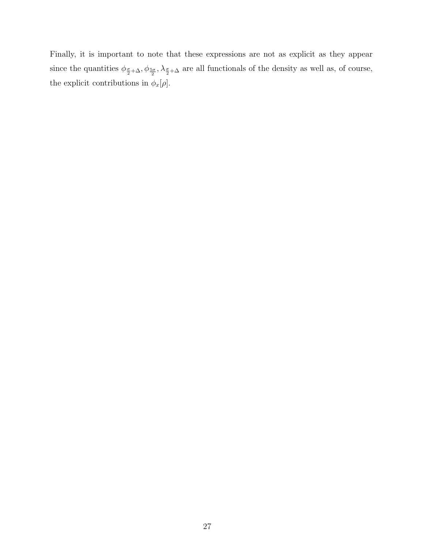Finally, it is important to note that these expressions are not as explicit as they appear since the quantities  $\phi_{\frac{\sigma}{2}+\Delta}, \phi_{\frac{5\sigma}{2}}, \lambda_{\frac{\sigma}{2}+\Delta}$  are all functionals of the density as well as, of course, the explicit contributions in  $\phi_x[\rho]$ .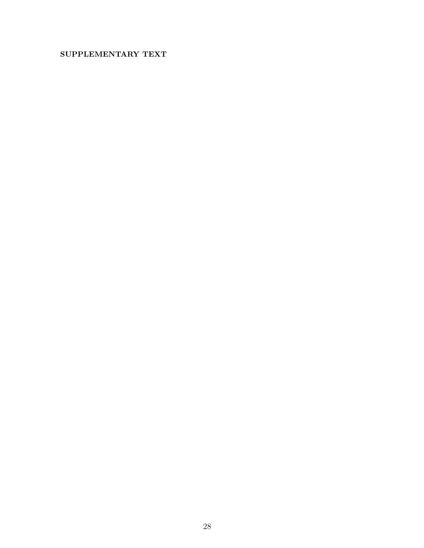# SUPPLEMENTARY TEXT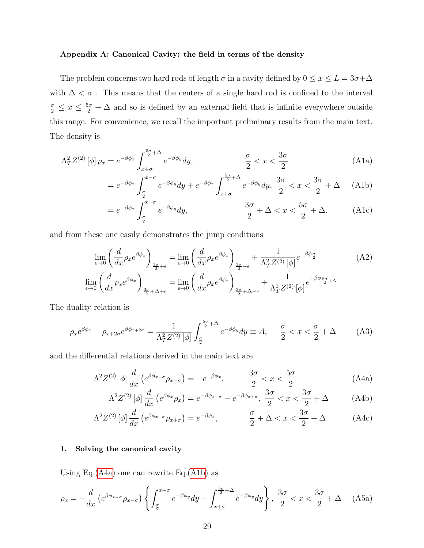## Appendix A: Canonical Cavity: the field in terms of the density

The problem concerns two hard rods of length  $\sigma$  in a cavity defined by  $0 \le x \le L = 3\sigma + \Delta$ with  $\Delta < \sigma$ . This means that the centers of a single hard rod is confined to the interval  $\frac{\sigma}{2} \leq x \leq \frac{5\sigma}{2} + \Delta$  and so is defined by an external field that is infinite everywhere outside this range. For convenience, we recall the important preliminary results from the main text. The density is

<span id="page-28-0"></span>
$$
\Lambda_T^2 Z^{(2)}\left[\phi\right] \rho_x = e^{-\beta \phi_x} \int_{x+\sigma}^{\frac{5\sigma}{2}+\Delta} e^{-\beta \phi_y} dy, \qquad \frac{\sigma}{2} < x < \frac{3\sigma}{2} \tag{A1a}
$$

$$
= e^{-\beta \phi_x} \int_{\frac{\sigma}{2}}^{x-\sigma} e^{-\beta \phi_y} dy + e^{-\beta \phi_x} \int_{x+\sigma}^{\frac{5\sigma}{2}+\Delta} e^{-\beta \phi_y} dy, \frac{3\sigma}{2} < x < \frac{3\sigma}{2} + \Delta \quad \text{(A1b)}
$$

<span id="page-28-8"></span><span id="page-28-7"></span><span id="page-28-6"></span><span id="page-28-3"></span>
$$
= e^{-\beta \phi_x} \int_{\frac{\sigma}{2}}^{x-\sigma} e^{-\beta \phi_y} dy, \qquad \frac{3\sigma}{2} + \Delta < x < \frac{5\sigma}{2} + \Delta. \tag{A1c}
$$

and from these one easily demonstrates the jump conditions

$$
\lim_{\epsilon \to 0} \left( \frac{d}{dx} \rho_x e^{\beta \phi_x} \right)_{\frac{3\sigma}{2} + \epsilon} = \lim_{\epsilon \to 0} \left( \frac{d}{dx} \rho_x e^{\beta \phi_x} \right)_{\frac{3\sigma}{2} - \epsilon} + \frac{1}{\Lambda_T^2 Z^{(2)} [\phi]} e^{-\beta \phi_{\frac{\sigma}{2}}}
$$
(A2)  

$$
\lim_{\epsilon \to 0} \left( \frac{d}{dx} \rho_x e^{\beta \phi_x} \right)_{\frac{3\sigma}{2} + \Delta + \epsilon} = \lim_{\epsilon \to 0} \left( \frac{d}{dx} \rho_x e^{\beta \phi_x} \right)_{\frac{3\sigma}{2} + \Delta - \epsilon} + \frac{1}{\Lambda_T^2 Z^{(2)} [\phi]} e^{-\beta \phi_{\frac{5\sigma}{2} + \Delta}}
$$

The duality relation is

<span id="page-28-2"></span>
$$
\rho_x e^{\beta \phi_x} + \rho_{x+2\sigma} e^{\beta \phi_{x+2\sigma}} = \frac{1}{\Lambda_T^2 Z^{(2)}[\phi]} \int_{\frac{\sigma}{2}}^{\frac{5\sigma}{2}+\Delta} e^{-\beta \phi_y} dy \equiv A, \quad \frac{\sigma}{2} < x < \frac{\sigma}{2} + \Delta \tag{A3}
$$

and the differential relations derived in the main text are

$$
\Lambda^2 Z^{(2)}\left[\phi\right] \frac{d}{dx} \left(e^{\beta \phi_{x-\sigma}} \rho_{x-\sigma}\right) = -e^{-\beta \phi_x}, \qquad \frac{3\sigma}{2} < x < \frac{5\sigma}{2} \tag{A4a}
$$

<span id="page-28-9"></span><span id="page-28-5"></span><span id="page-28-4"></span><span id="page-28-1"></span>
$$
\Lambda^2 Z^{(2)}\left[\phi\right] \frac{d}{dx}\left(e^{\beta \phi_x} \rho_x\right) = e^{-\beta \phi_{x-\sigma}} - e^{-\beta \phi_{x+\sigma}}, \ \frac{3\sigma}{2} < x < \frac{3\sigma}{2} + \Delta \tag{A4b}
$$

$$
\Lambda^2 Z^{(2)}\left[\phi\right] \frac{d}{dx} \left(e^{\beta \phi_{x+\sigma}} \rho_{x+\sigma}\right) = e^{-\beta \phi_x}, \qquad \frac{\sigma}{2} + \Delta < x < \frac{3\sigma}{2} + \Delta. \tag{A4c}
$$

# 1. Solving the canonical cavity

Using Eq. $(A4a)$  one can rewrite Eq. $(A1b)$  as

$$
\rho_x = -\frac{d}{dx} \left( e^{\beta \phi_{x-\sigma}} \rho_{x-\sigma} \right) \left\{ \int_{\frac{\sigma}{2}}^{x-\sigma} e^{-\beta \phi_y} dy + \int_{x+\sigma}^{\frac{5\sigma}{2}+\Delta} e^{-\beta \phi_y} dy \right\}, \frac{3\sigma}{2} < x < \frac{3\sigma}{2} + \Delta \quad \text{(A5a)}
$$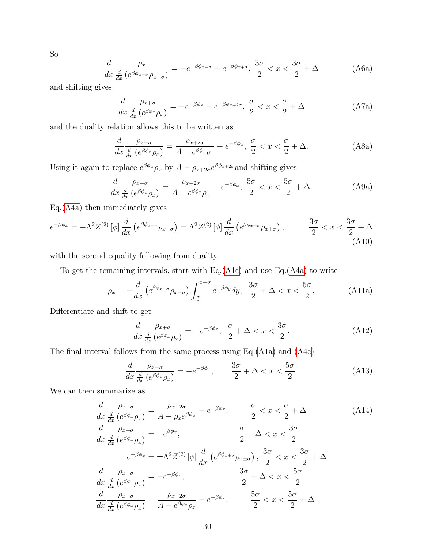$$
\frac{d}{dx}\frac{\rho_x}{\frac{d}{dx}\left(e^{\beta\phi_{x-\sigma}}\rho_{x-\sigma}\right)} = -e^{-\beta\phi_{x-\sigma}} + e^{-\beta\phi_{x+\sigma}}, \ \frac{3\sigma}{2} < x < \frac{3\sigma}{2} + \Delta \tag{A6a}
$$

and shifting gives

$$
\frac{d}{dx}\frac{\rho_{x+\sigma}}{\frac{d}{dx}\left(e^{\beta\phi_x}\rho_x\right)} = -e^{-\beta\phi_x} + e^{-\beta\phi_{x+2\sigma}}, \ \frac{\sigma}{2} < x < \frac{\sigma}{2} + \Delta \tag{A7a}
$$

and the duality relation allows this to be written as

$$
\frac{d}{dx}\frac{\rho_{x+\sigma}}{\frac{d}{dx}\left(e^{\beta\phi_x}\rho_x\right)} = \frac{\rho_{x+2\sigma}}{A - e^{\beta\phi_x}\rho_x} - e^{-\beta\phi_x}, \ \frac{\sigma}{2} < x < \frac{\sigma}{2} + \Delta. \tag{A8a}
$$

Using it again to replace  $e^{\beta \phi_x} \rho_x$  by  $A - \rho_{x+2\sigma} e^{\beta \phi_{x+2\sigma}}$  and shifting gives

$$
\frac{d}{dx}\frac{\rho_{x-\sigma}}{\frac{d}{dx}\left(e^{\beta\phi_x}\rho_x\right)} = \frac{\rho_{x-2\sigma}}{A - e^{\beta\phi_x}\rho_x} - e^{-\beta\phi_x}, \ \frac{5\sigma}{2} < x < \frac{5\sigma}{2} + \Delta. \tag{A9a}
$$

Eq.[\(A4a\)](#page-28-5) then immediately gives

$$
e^{-\beta\phi_x} = -\Lambda^2 Z^{(2)}\left[\phi\right] \frac{d}{dx}\left(e^{\beta\phi_{x-\sigma}}\rho_{x-\sigma}\right) = \Lambda^2 Z^{(2)}\left[\phi\right] \frac{d}{dx}\left(e^{\beta\phi_{x+\sigma}}\rho_{x+\sigma}\right), \qquad \frac{3\sigma}{2} < x < \frac{3\sigma}{2} + \Delta \tag{A10}
$$

with the second equality following from duality.

To get the remaining intervals, start with Eq.[\(A1c\)](#page-28-7) and use Eq.[\(A4a\)](#page-28-5) to write

$$
\rho_x = -\frac{d}{dx} \left( e^{\beta \phi_{x-\sigma}} \rho_{x-\sigma} \right) \int_{\frac{\sigma}{2}}^{x-\sigma} e^{-\beta \phi_y} dy, \quad \frac{3\sigma}{2} + \Delta < x < \frac{5\sigma}{2}.\tag{A11a}
$$

Differentiate and shift to get

$$
\frac{d}{dx}\frac{\rho_{x+\sigma}}{\frac{d}{dx}\left(e^{\beta\phi_x}\rho_x\right)} = -e^{-\beta\phi_x}, \quad \frac{\sigma}{2} + \Delta < x < \frac{3\sigma}{2}.\tag{A12}
$$

The final interval follows from the same process using Eq.[\(A1a\)](#page-28-8) and [\(A4c\)](#page-28-9)

$$
\frac{d}{dx}\frac{\rho_{x-\sigma}}{\frac{d}{dx}\left(e^{\beta\phi_x}\rho_x\right)} = -e^{-\beta\phi_x}, \qquad \frac{3\sigma}{2} + \Delta < x < \frac{5\sigma}{2}.\tag{A13}
$$

We can then summarize as

$$
\frac{d}{dx}\frac{\rho_{x+\sigma}}{\frac{d}{dx}\left(e^{\beta\phi_{x}}\rho_{x}\right)} = \frac{\rho_{x+2\sigma}}{A - \rho_{x}e^{\beta\phi_{x}}}-e^{-\beta\phi_{x}}, \qquad \frac{\sigma}{2} < x < \frac{\sigma}{2} + \Delta \tag{A14}
$$
\n
$$
\frac{d}{dx}\frac{\rho_{x+\sigma}}{\frac{d}{dx}\left(e^{\beta\phi_{x}}\rho_{x}\right)} = -e^{\beta\phi_{x}}, \qquad \frac{\sigma}{2} + \Delta < x < \frac{3\sigma}{2}
$$
\n
$$
e^{-\beta\phi_{x}} = \pm\Lambda^{2}Z^{(2)}\left[\phi\right]\frac{d}{dx}\left(e^{\beta\phi_{x+\sigma}}\rho_{x+\sigma}\right), \frac{3\sigma}{2} < x < \frac{3\sigma}{2} + \Delta
$$
\n
$$
\frac{d}{dx}\frac{\rho_{x-\sigma}}{\frac{d}{dx}\left(e^{\beta\phi_{x}}\rho_{x}\right)} = -e^{-\beta\phi_{x}}, \qquad \frac{3\sigma}{2} + \Delta < x < \frac{5\sigma}{2}
$$
\n
$$
\frac{d}{dx}\frac{\rho_{x-\sigma}}{\frac{d}{dx}\left(e^{\beta\phi_{x}}\rho_{x}\right)} = \frac{\rho_{x-2\sigma}}{A - e^{\beta\phi_{x}}\rho_{x}} - e^{-\beta\phi_{x}}, \qquad \frac{5\sigma}{2} < x < \frac{5\sigma}{2} + \Delta
$$

<span id="page-29-0"></span>30

So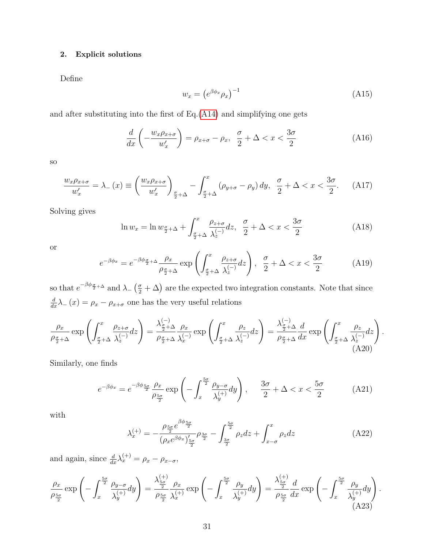# 2. Explicit solutions

Define

$$
w_x = \left(e^{\beta \phi_x} \rho_x\right)^{-1} \tag{A15}
$$

and after substituting into the first of Eq.[\(A14\)](#page-29-0) and simplifying one gets

$$
\frac{d}{dx}\left(-\frac{w_x\rho_{x+\sigma}}{w'_x}\right) = \rho_{x+\sigma} - \rho_x, \quad \frac{\sigma}{2} + \Delta < x < \frac{3\sigma}{2} \tag{A16}
$$

so

$$
\frac{w_x \rho_{x+\sigma}}{w'_x} = \lambda_{-}(x) \equiv \left(\frac{w_x \rho_{x+\sigma}}{w'_x}\right)_{\frac{\sigma}{2}+\Delta} - \int_{\frac{\sigma}{2}+\Delta}^{x} (\rho_{y+\sigma} - \rho_y) dy, \ \ \frac{\sigma}{2} + \Delta < x < \frac{3\sigma}{2}.\tag{A17}
$$

Solving gives

$$
\ln w_x = \ln w_{\frac{\sigma}{2} + \Delta} + \int_{\frac{\sigma}{2} + \Delta}^x \frac{\rho_{z+\sigma}}{\lambda_z^{(-)}} dz, \quad \frac{\sigma}{2} + \Delta < x < \frac{3\sigma}{2} \tag{A18}
$$

or

$$
e^{-\beta \phi_x} = e^{-\beta \phi_{\frac{\sigma}{2}+\Delta}} \frac{\rho_x}{\rho_{\frac{\sigma}{2}+\Delta}} \exp\left(\int_{\frac{\sigma}{2}+\Delta}^x \frac{\rho_{z+\sigma}}{\lambda_z^{(-)}} dz\right), \quad \frac{\sigma}{2}+\Delta < x < \frac{3\sigma}{2}
$$
(A19)

so that  $e^{-\beta \phi \frac{\sigma}{2} + \Delta}$  and  $\lambda = (\frac{\sigma}{2} + \Delta)$  are the expected two integration constants. Note that since  $\frac{d}{dx}\lambda_-(x) = \rho_x - \rho_{x+\sigma}$  one has the very useful relations

$$
\frac{\rho_x}{\rho_{\frac{\sigma}{2}+\Delta}} \exp\left(\int_{\frac{\sigma}{2}+\Delta}^x \frac{\rho_{z+\sigma}}{\lambda_z^{(-)}} dz\right) = \frac{\lambda_{\frac{\sigma}{2}+\Delta}^{(-)} \rho_x}{\rho_{\frac{\sigma}{2}+\Delta} \lambda_x^{(-)}} \exp\left(\int_{\frac{\sigma}{2}+\Delta}^x \frac{\rho_z}{\lambda_z^{(-)}} dz\right) = \frac{\lambda_{\frac{\sigma}{2}+\Delta}^{(-)} d}{\rho_{\frac{\sigma}{2}+\Delta} d} \exp\left(\int_{\frac{\sigma}{2}+\Delta}^x \frac{\rho_z}{\lambda_z^{(-)}} dz\right).
$$
\n(A20)

Similarly, one finds

$$
e^{-\beta \phi_x} = e^{-\beta \phi_{\frac{5\sigma}{2}}} \frac{\rho_x}{\rho_{\frac{5\sigma}{2}}} \exp\left(-\int_x^{\frac{5\sigma}{2}} \frac{\rho_{y-\sigma}}{\lambda_y^{(+)}} dy\right), \quad \frac{3\sigma}{2} + \Delta < x < \frac{5\sigma}{2} \tag{A21}
$$

with

$$
\lambda_x^{(+)} = -\frac{\rho_{\frac{5\sigma}{2}}e^{\beta\phi_{\frac{5\sigma}{2}}}}{(\rho_x e^{\beta\phi_x})_{\frac{5\sigma}{2}}'}\rho_{\frac{3\sigma}{2}} - \int_{\frac{3\sigma}{2}}^{\frac{5\sigma}{2}} \rho_z dz + \int_{x-\sigma}^x \rho_z dz \tag{A22}
$$

.

and again, since  $\frac{d}{dx}\lambda_x^{(+)} = \rho_x - \rho_{x-\sigma}$ ,

<span id="page-30-0"></span>
$$
\frac{\rho_x}{\rho_{\frac{5\sigma}{2}}} \exp\left(-\int_x^{\frac{5\sigma}{2}} \frac{\rho_{y-\sigma}}{\lambda_y^{(+)}} dy\right) = \frac{\lambda_{\frac{5\sigma}{2}}^{(+)}}{\rho_{\frac{5\sigma}{2}} \lambda_x^{(+)}} \exp\left(-\int_x^{\frac{5\sigma}{2}} \frac{\rho_y}{\lambda_y^{(+)}} dy\right) = \frac{\lambda_{\frac{5\sigma}{2}}^{(+)}}{\rho_{\frac{5\sigma}{2}} d x} \exp\left(-\int_x^{\frac{5\sigma}{2}} \frac{\rho_y}{\lambda_y^{(+)}} dy\right)
$$
\n(A23)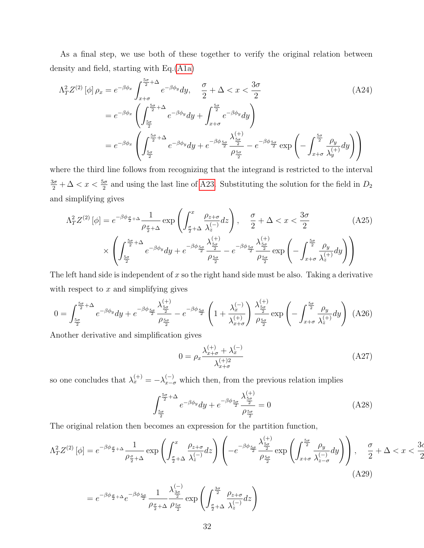As a final step, we use both of these together to verify the original relation between density and field, starting with Eq.[\(A1a\)](#page-28-8)

$$
\Lambda_T^2 Z^{(2)} [\phi] \rho_x = e^{-\beta \phi_x} \int_{x+\sigma}^{\frac{5\sigma}{2}+\Delta} e^{-\beta \phi_y} dy, \quad \frac{\sigma}{2} + \Delta < x < \frac{3\sigma}{2} \tag{A24}
$$
\n
$$
= e^{-\beta \phi_x} \left( \int_{\frac{5\sigma}{2}}^{\frac{5\sigma}{2}+\Delta} e^{-\beta \phi_y} dy + \int_{x+\sigma}^{\frac{5\sigma}{2}} e^{-\beta \phi_y} dy \right)
$$
\n
$$
= e^{-\beta \phi_x} \left( \int_{\frac{5\sigma}{2}}^{\frac{5\sigma}{2}+\Delta} e^{-\beta \phi_y} dy + e^{-\beta \phi \frac{5\sigma}{2}} \frac{\lambda_{\frac{5\sigma}{2}}^{(+)}}{\rho_{\frac{5\sigma}{2}}} - e^{-\beta \phi \frac{5\sigma}{2}} \exp \left( - \int_{x+\sigma}^{\frac{5\sigma}{2}} \frac{\rho_y}{\lambda_y^{(+)}} dy \right) \right)
$$

where the third line follows from recognizing that the integrand is restricted to the interval  $\frac{3\sigma}{2} + \Delta < x < \frac{5\sigma}{2}$  and using the last line of [A23.](#page-30-0) Substituting the solution for the field in  $D_2$ and simplifying gives

$$
\Lambda_T^2 Z^{(2)}\left[\phi\right] = e^{-\beta \phi \frac{\sigma}{2} + \Delta} \frac{1}{\rho \frac{\sigma}{2} + \Delta} \exp\left(\int_{\frac{\sigma}{2} + \Delta}^x \frac{\rho_{z+\sigma}}{\lambda_z^{(-)}} dz\right), \quad \frac{\sigma}{2} + \Delta < x < \frac{3\sigma}{2} \tag{A25}
$$
\n
$$
\times \left(\int_{\frac{5\sigma}{2}}^{\frac{5\sigma}{2} + \Delta} e^{-\beta \phi y} dy + e^{-\beta \phi \frac{\lambda}{2}} \frac{\lambda_{\frac{5\sigma}{2}}^{(+)}}{\rho \frac{5\sigma}{2}} - e^{-\beta \phi \frac{\lambda}{2}} \frac{\lambda_{\frac{5\sigma}{2}}^{(+)}}{\rho \frac{5\sigma}{2}} \exp\left(-\int_{x+\sigma}^{\frac{5\sigma}{2}} \frac{\rho_y}{\lambda_z^{(+)}} dy\right)\right)
$$

The left hand side is independent of  $x$  so the right hand side must be also. Taking a derivative with respect to  $x$  and simplifying gives

$$
0 = \int_{\frac{5\sigma}{2}}^{\frac{5\sigma}{2}+\Delta} e^{-\beta \phi_y} dy + e^{-\beta \phi_{\frac{5\sigma}{2}} \frac{\lambda_{\frac{5\sigma}{2}}^{(+)}}{\rho_{\frac{5\sigma}{2}}}} - e^{-\beta \phi_{\frac{5\sigma}{2}} \left(1 + \frac{\lambda_x^{(-)}}{\lambda_{x+\sigma}}\right)} \frac{\lambda_{\frac{5\sigma}{2}}^{(+)}}{\rho_{\frac{5\sigma}{2}}^{5\sigma}} \exp\left(-\int_{x+\sigma}^{\frac{5\sigma}{2}} \frac{\rho_y}{\lambda_z^{(+)}} dy\right) (A26)
$$

Another derivative and simplification gives

$$
0 = \rho_x \frac{\lambda_{x+\sigma}^{(+)} + \lambda_x^{(-)}}{\lambda_{x+\sigma}^{(+)2}}
$$
\n(A27)

2

so one concludes that  $\lambda_x^{(+)} = -\lambda_{x-\sigma}^{(-)}$  which then, from the previous relation implies

$$
\int_{\frac{5\sigma}{2}}^{\frac{5\sigma}{2}+\Delta} e^{-\beta \phi_y} dy + e^{-\beta \phi_{\frac{5\sigma}{2}}} \frac{\lambda_{\frac{5\sigma}{2}}^{(+)}}{\rho_{\frac{5\sigma}{2}}} = 0
$$
\n(A28)

The original relation then becomes an expression for the partition function,

$$
\Lambda_T^2 Z^{(2)}\left[\phi\right] = e^{-\beta \phi \frac{\sigma}{2} + \Delta} \frac{1}{\rho \frac{\sigma}{2} + \Delta} \exp\left(\int_{\frac{\sigma}{2} + \Delta}^x \frac{\rho_{z+\sigma}}{\lambda_z^{(-)}} dz\right) \left(-e^{-\beta \phi \frac{\sigma}{2}} \frac{\lambda_{\frac{5\sigma}{2}}^{(+)}}{\rho \frac{5\sigma}{2}} \exp\left(\int_{x+\sigma}^{\frac{5\sigma}{2}} \frac{\rho_y}{\lambda_{z-\sigma}^{(-)}} dy\right)\right), \quad \frac{\sigma}{2} + \Delta < x < \frac{3\sigma}{2} \tag{A29}
$$

$$
=e^{-\beta\phi_{\frac{\sigma}{2}+\Delta}}e^{-\beta\phi_{\frac{5\sigma}{2}}}\frac{1}{\rho_{\frac{\sigma}{2}+\Delta}}\frac{\lambda_{\frac{3\sigma}{2}}^{(-)}}{\rho_{\frac{5\sigma}{2}}}\exp\left(\int_{\frac{\sigma}{2}+\Delta}\frac{\lambda_{z}+\sigma}{\lambda_{z}}dz\right)
$$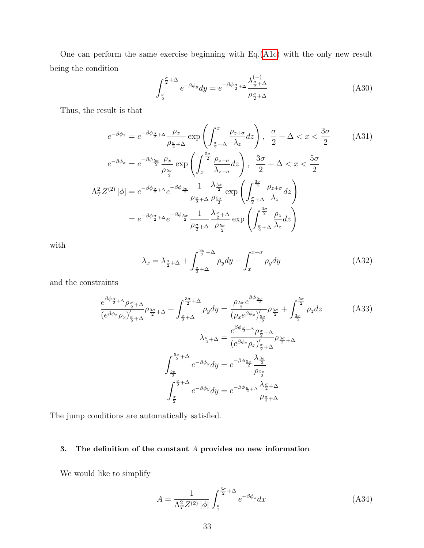One can perform the same exercise beginning with Eq.[\(A1c\)](#page-28-7) with the only new result being the condition

<span id="page-32-0"></span>
$$
\int_{\frac{\sigma}{2}}^{\frac{\sigma}{2}+\Delta} e^{-\beta \phi_y} dy = e^{-\beta \phi_{\frac{\sigma}{2}+\Delta}} \frac{\lambda_{\frac{\sigma}{2}+\Delta}^{(-)}}{\rho_{\frac{\sigma}{2}+\Delta}}
$$
(A30)

Thus, the result is that

$$
e^{-\beta \phi_x} = e^{-\beta \phi_x} + \frac{\rho_x}{\rho_{\frac{\sigma}{2}+\Delta}} \exp\left(\int_{\frac{\sigma}{2}+\Delta}^x \frac{\rho_{z+\sigma}}{\lambda_z} dz\right), \frac{\sigma}{2} + \Delta < x < \frac{3\sigma}{2} \tag{A31}
$$
\n
$$
e^{-\beta \phi_x} = e^{-\beta \phi_{\frac{5\sigma}{2}}} \frac{\rho_x}{\rho_{\frac{5\sigma}{2}}} \exp\left(\int_x^{\frac{5\sigma}{2}} \frac{\rho_{z-\sigma}}{\lambda_{z-\sigma}} dz\right), \frac{3\sigma}{2} + \Delta < x < \frac{5\sigma}{2}
$$
\n
$$
\Lambda_T^2 Z^{(2)} \left[\phi\right] = e^{-\beta \phi_{\frac{\sigma}{2}+\Delta}} e^{-\beta \phi_{\frac{5\sigma}{2}}} \frac{1}{\rho_{\frac{\sigma}{2}+\Delta}} \frac{\lambda_{\frac{3\sigma}{2}}}{\rho_{\frac{\sigma}{2}+\Delta}} \exp\left(\int_{\frac{\sigma}{2}+\Delta}^{\frac{3\sigma}{2}} \frac{\rho_{z+\sigma}}{\lambda_z} dz\right)
$$
\n
$$
= e^{-\beta \phi_{\frac{\sigma}{2}+\Delta}} e^{-\beta \phi_{\frac{5\sigma}{2}}} \frac{1}{\rho_{\frac{\sigma}{2}+\Delta}} \frac{\lambda_{\frac{\sigma}{2}+\Delta}}{\rho_{\frac{5\sigma}{2}}} \exp\left(\int_{\frac{\sigma}{2}+\Delta}^{\frac{3\sigma}{2}} \frac{\rho_z}{\lambda_z} dz\right)
$$

with

$$
\lambda_x = \lambda_{\frac{\sigma}{2} + \Delta} + \int_{\frac{\sigma}{2} + \Delta}^{\frac{3\sigma}{2} + \Delta} \rho_y dy - \int_x^{x+\sigma} \rho_y dy \tag{A32}
$$

and the constraints

$$
\frac{e^{\beta\phi_{\frac{\sigma}{2}+\Delta}}\rho_{\frac{\sigma}{2}+\Delta}}{(e^{\beta\phi_x}\rho_x)'_{\frac{\sigma}{2}+\Delta}}\rho_{\frac{3\sigma}{2}+\Delta} + \int_{\frac{\sigma}{2}+\Delta}^{\frac{3\sigma}{2}+\Delta}\rho_y dy = \frac{\rho_{\frac{5\sigma}{2}}e^{\beta\phi_{\frac{5\sigma}{2}}}}{(\rho_x e^{\beta\phi_x})'_{\frac{5\sigma}{2}}} \rho_{\frac{3\sigma}{2}} + \int_{\frac{3\sigma}{2}}^{\frac{5\sigma}{2}}\rho_z dz \qquad (A33)
$$

$$
\lambda_{\frac{\sigma}{2}+\Delta} = \frac{e^{\beta\phi_{\frac{\sigma}{2}+\Delta}}\rho_{\frac{\sigma}{2}+\Delta}}{(e^{\beta\phi_x}\rho_x)'_{\frac{\sigma}{2}+\Delta}} \rho_{\frac{3\sigma}{2}+\Delta}
$$

$$
\int_{\frac{5\sigma}{2}}^{\frac{5\sigma}{2}+\Delta} e^{-\beta\phi_y} dy = e^{-\beta\phi_{\frac{5\sigma}{2}}} \frac{\lambda_{\frac{3\sigma}{2}}}{\rho_{\frac{5\sigma}{2}}} \qquad \frac{\lambda_{\frac{\sigma}{2}+\Delta}}{\rho_{\frac{\sigma}{2}+\Delta}}
$$

$$
\int_{\frac{\sigma}{2}}^{\frac{\sigma}{2}+\Delta} e^{-\beta\phi_y} dy = e^{-\beta\phi_{\frac{\sigma}{2}+\Delta}} \frac{\lambda_{\frac{\sigma}{2}+\Delta}}{\rho_{\frac{\sigma}{2}+\Delta}}
$$

The jump conditions are automatically satisfied.

# 3. The definition of the constant  $A$  provides no new information

We would like to simplify

$$
A = \frac{1}{\Lambda_T^2 Z^{(2)}\left[\phi\right]} \int_{\frac{\sigma}{2}}^{\frac{5\sigma}{2} + \Delta} e^{-\beta \phi_x} dx \tag{A34}
$$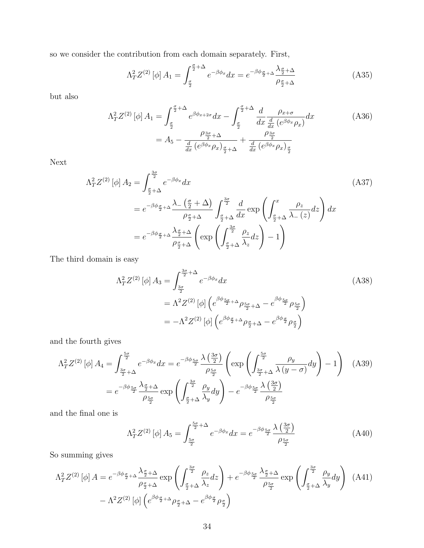so we consider the contribution from each domain separately. First,

$$
\Lambda_T^2 Z^{(2)} [\phi] A_1 = \int_{\frac{\sigma}{2}}^{\frac{\sigma}{2} + \Delta} e^{-\beta \phi_x} dx = e^{-\beta \phi_{\frac{\sigma}{2} + \Delta}} \frac{\lambda_{\frac{\sigma}{2} + \Delta}}{\rho_{\frac{\sigma}{2} + \Delta}}
$$
(A35)

but also

$$
\Lambda_T^2 Z^{(2)}\left[\phi\right] A_1 = \int_{\frac{\sigma}{2}}^{\frac{\sigma}{2} + \Delta} e^{\beta \phi_{x+2\sigma}} dx - \int_{\frac{\sigma}{2}}^{\frac{\sigma}{2} + \Delta} \frac{d}{dx} \frac{\rho_{x+\sigma}}{\frac{d}{dx} \left(e^{\beta \phi_x} \rho_x\right)} dx
$$
\n
$$
= A_5 - \frac{\rho_{\frac{3\sigma}{2} + \Delta}}{\frac{d}{dx} \left(e^{\beta \phi_x} \rho_x\right)_{\frac{\sigma}{2} + \Delta}} + \frac{\rho_{\frac{3\sigma}{2}}}{\frac{d}{dx} \left(e^{\beta \phi_x} \rho_x\right)_{\frac{\sigma}{2}}}
$$
\n(A36)

Next

$$
\Lambda_T^2 Z^{(2)} [\phi] A_2 = \int_{\frac{\sigma}{2} + \Delta}^{\frac{3\sigma}{2}} e^{-\beta \phi_x} dx
$$
\n
$$
= e^{-\beta \phi_{\frac{\sigma}{2} + \Delta}} \frac{\lambda_{-} (\frac{\sigma}{2} + \Delta)}{\rho_{\frac{\sigma}{2} + \Delta}} \int_{\frac{\sigma}{2} + \Delta}^{\frac{3\sigma}{2}} \frac{d}{dx} \exp\left(\int_{\frac{\sigma}{2} + \Delta}^x \frac{\rho_z}{\lambda_{-}(z)} dz\right) dx
$$
\n
$$
= e^{-\beta \phi_{\frac{\sigma}{2} + \Delta}} \frac{\lambda_{\frac{\sigma}{2} + \Delta}}{\rho_{\frac{\sigma}{2} + \Delta}} \left(\exp\left(\int_{\frac{\sigma}{2} + \Delta}^{\frac{3\sigma}{2}} \frac{\rho_z}{\lambda_z} dz\right) - 1\right)
$$
\n(A37)

The third domain is easy

$$
\Lambda_T^2 Z^{(2)} [\phi] A_3 = \int_{\frac{3\sigma}{2}}^{\frac{3\sigma}{2} + \Delta} e^{-\beta \phi_x} dx
$$
\n
$$
= \Lambda^2 Z^{(2)} [\phi] \left( e^{\beta \phi_{\frac{5\sigma}{2} + \Delta}} \rho_{\frac{5\sigma}{2} + \Delta} - e^{\beta \phi_{\frac{5\sigma}{2}}} \rho_{\frac{5\sigma}{2}} \right)
$$
\n
$$
= -\Lambda^2 Z^{(2)} [\phi] \left( e^{\beta \phi_{\frac{\sigma}{2} + \Delta}} \rho_{\frac{\sigma}{2} + \Delta} - e^{\beta \phi_{\frac{\sigma}{2}}} \rho_{\frac{\sigma}{2}} \right)
$$
\n(A38)

and the fourth gives

$$
\Lambda_T^2 Z^{(2)}\left[\phi\right] A_4 = \int_{\frac{3\sigma}{2}+\Delta}^{\frac{5\sigma}{2}} e^{-\beta \phi_x} dx = e^{-\beta \phi_{\frac{5\sigma}{2}}} \frac{\lambda \left(\frac{3\sigma}{2}\right)}{\rho_{\frac{5\sigma}{2}}} \left( \exp\left(\int_{\frac{3\sigma}{2}+\Delta}^{\frac{5\sigma}{2}} \frac{\rho_y}{\lambda\left(y-\sigma\right)} dy \right) - 1 \right) \quad (A39)
$$

$$
= e^{-\beta \phi_{\frac{5\sigma}{2}}} \frac{\lambda \frac{\sigma}{2} + \Delta}{\rho_{\frac{5\sigma}{2}}} \exp\left(\int_{\frac{\sigma}{2}+\Delta}^{\frac{3\sigma}{2}} \frac{\rho_y}{\lambda_y} dy \right) - e^{-\beta \phi_{\frac{5\sigma}{2}}} \frac{\lambda \left(\frac{3\sigma}{2}\right)}{\rho_{\frac{5\sigma}{2}}}
$$

and the final one is

$$
\Lambda_T^2 Z^{(2)}\left[\phi\right] A_5 = \int_{\frac{5\sigma}{2}}^{\frac{5\sigma}{2} + \Delta} e^{-\beta \phi_x} dx = e^{-\beta \phi_{\frac{5\sigma}{2}}} \frac{\lambda \left(\frac{3\sigma}{2}\right)}{\rho_{\frac{5\sigma}{2}}} \tag{A40}
$$

So summing gives

$$
\Lambda_T^2 Z^{(2)}\left[\phi\right] A = e^{-\beta \phi_{\frac{\sigma}{2}+\Delta}} \frac{\lambda_{\frac{\sigma}{2}+\Delta}}{\rho_{\frac{\sigma}{2}+\Delta}} \exp\left(\int_{\frac{\sigma}{2}+\Delta}^{\frac{3\sigma}{2}} \frac{\rho_z}{\lambda_z} dz\right) + e^{-\beta \phi_{\frac{5\sigma}{2}}} \frac{\lambda_{\frac{\sigma}{2}+\Delta}}{\rho_{\frac{5\sigma}{2}}} \exp\left(\int_{\frac{\sigma}{2}+\Delta}^{\frac{3\sigma}{2}} \frac{\rho_y}{\lambda_y} dy\right) \tag{A41}
$$

$$
- \Lambda^2 Z^{(2)}\left[\phi\right] \left(e^{\beta \phi_{\frac{\sigma}{2}+\Delta}} \rho_{\frac{\sigma}{2}+\Delta} - e^{\beta \phi_{\frac{\sigma}{2}}} \rho_{\frac{\sigma}{2}}\right)
$$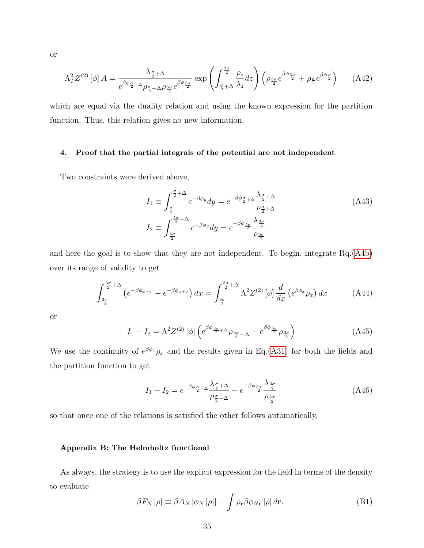or

$$
\Lambda_T^2 Z^{(2)}\left[\phi\right] A = \frac{\lambda_{\frac{\sigma}{2} + \Delta}}{e^{\beta \phi_{\frac{\sigma}{2} + \Delta} \rho_{\frac{\sigma}{2} + \Delta \rho_{\frac{5\sigma}{2}}}} e^{\beta \phi_{\frac{5\sigma}{2}}}} \exp\left(\int_{\frac{\sigma}{2} + \Delta}^{\frac{3\sigma}{2}} \frac{\rho_z}{\lambda_z} dz\right) \left(\rho_{\frac{5\sigma}{2}} e^{\beta \phi_{\frac{5\sigma}{2}}} + \rho_{\frac{\sigma}{2}} e^{\beta \phi_{\frac{\sigma}{2}}}\right) \tag{A42}
$$

which are equal via the duality relation and using the known expression for the partition function. Thus, this relation gives no new information.

# 4. Proof that the partial integrals of the potential are not independent

Two constraints were derived above,

$$
I_1 \equiv \int_{\frac{\sigma}{2}}^{\frac{\sigma}{2} + \Delta} e^{-\beta \phi_y} dy = e^{-\beta \phi_{\frac{\sigma}{2} + \Delta}} \frac{\lambda_{\frac{\sigma}{2} + \Delta}}{\rho_{\frac{\sigma}{2} + \Delta}}
$$
(A43)  

$$
I_2 \equiv \int_{\frac{5\sigma}{2}}^{\frac{5\sigma}{2} + \Delta} e^{-\beta \phi_y} dy = e^{-\beta \phi_{\frac{5\sigma}{2}}} \frac{\lambda_{\frac{3\sigma}{2}}}{\rho_{\frac{5\sigma}{2}}}
$$

and here the goal is to show that they are not independent. To begin, integrate Rq.[\(A4b\)](#page-28-4) over its range of validity to get

$$
\int_{\frac{3\sigma}{2}}^{\frac{3\sigma}{2}+\Delta} \left(e^{-\beta \phi_{x-\sigma}} - e^{-\beta \phi_{x+\sigma}}\right) dx = \int_{\frac{3\sigma}{2}}^{\frac{3\sigma}{2}+\Delta} \Lambda^2 Z^{(2)}\left[\phi\right] \frac{d}{dx} \left(e^{\beta \phi_x} \rho_x\right) dx \tag{A44}
$$

or

$$
I_1 - I_2 = \Lambda^2 Z^{(2)} \left[ \phi \right] \left( e^{\beta \phi_{\frac{3\sigma}{2} + \Delta}} \rho_{\frac{3\sigma}{2} + \Delta} - e^{\beta \phi_{\frac{3\sigma}{2}}} \rho_{\frac{3\sigma}{2}} \right) \tag{A45}
$$

We use the continuity of  $e^{\beta \phi_x} \rho_x$  and the results given in Eq.[\(A31\)](#page-32-0) for both the fields and the partition function to get

$$
I_1 - I_2 = e^{-\beta \phi_{\frac{\sigma}{2}+\Delta}} \frac{\lambda_{\frac{\sigma}{2}+\Delta}}{\rho_{\frac{\sigma}{2}+\Delta}} - e^{-\beta \phi_{\frac{5\sigma}{2}}} \frac{\lambda_{\frac{3\sigma}{2}}}{\rho_{\frac{5\sigma}{2}}} \tag{A46}
$$

so that once one of the relations is satisfied the other follows automatically.

# Appendix B: The Helmholtz functional

As always, the strategy is to use the explicit expression for the field in terms of the density to evaluate

$$
\beta F_N[\rho] \equiv \beta A_N[\phi_N[\rho]] - \int \rho_{\mathbf{r}} \beta \phi_{N\mathbf{r}}[\rho] d\mathbf{r}.
$$
 (B1)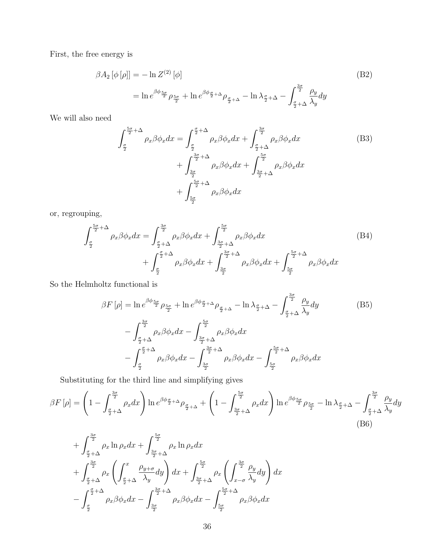First, the free energy is

$$
\beta A_2 [\phi [\rho]] = -\ln Z^{(2)} [\phi]
$$
\n
$$
= \ln e^{\beta \phi_{\frac{5\sigma}{2}}} \rho_{\frac{5\sigma}{2}} + \ln e^{\beta \phi_{\frac{\sigma}{2}+\Delta}} \rho_{\frac{\sigma}{2+\Delta}} - \ln \lambda_{\frac{\sigma}{2}+\Delta} + \int_{\frac{\sigma}{2}+\Delta}^{\frac{3\sigma}{2}} \frac{\rho_y}{\lambda_y} dy
$$
\n(B2)

We will also need

$$
\int_{\frac{\sigma}{2}}^{\frac{5\sigma}{2}+\Delta} \rho_x \beta \phi_x dx = \int_{\frac{\sigma}{2}}^{\frac{\sigma}{2}+\Delta} \rho_x \beta \phi_x dx + \int_{\frac{\sigma}{2}+\Delta}^{\frac{3\sigma}{2}} \rho_x \beta \phi_x dx + \int_{\frac{3\sigma}{2}+\Delta}^{\frac{5\sigma}{2}} \rho_x \beta \phi_x dx + \int_{\frac{3\sigma}{2}+\Delta}^{\frac{5\sigma}{2}} \rho_x \beta \phi_x dx + \int_{\frac{5\sigma}{2}}^{\frac{5\sigma}{2}+\Delta} \rho_x \beta \phi_x dx
$$
\n(B3)

or, regrouping,

$$
\int_{\frac{\sigma}{2}}^{\frac{5\sigma}{2}+\Delta} \rho_x \beta \phi_x dx = \int_{\frac{\sigma}{2}+\Delta}^{\frac{3\sigma}{2}} \rho_x \beta \phi_x dx + \int_{\frac{3\sigma}{2}+\Delta}^{\frac{5\sigma}{2}} \rho_x \beta \phi_x dx + \int_{\frac{\sigma}{2}}^{\frac{3\sigma}{2}+\Delta} \rho_x \beta \phi_x dx + \int_{\frac{5\sigma}{2}}^{\frac{5\sigma}{2}+\Delta} \rho_x \beta \phi_x dx + \int_{\frac{5\sigma}{2}}^{\frac{5\sigma}{2}+\Delta} \rho_x \beta \phi_x dx
$$
\n(B4)

So the Helmholtz functional is

$$
\beta F\left[\rho\right] = \ln e^{\beta \phi_{\frac{5\sigma}{2}}}\rho_{\frac{5\sigma}{2}} + \ln e^{\beta \phi_{\frac{\sigma}{2}+\Delta}}\rho_{\frac{\sigma}{2}+\Delta} - \ln \lambda_{\frac{\sigma}{2}+\Delta} - \int_{\frac{\sigma}{2}+\Delta}^{\frac{3\sigma}{2}} \frac{\rho_y}{\lambda_y} dy
$$
\n
$$
- \int_{\frac{\sigma}{2}+\Delta}^{\frac{3\sigma}{2}} \rho_x \beta \phi_x dx - \int_{\frac{3\sigma}{2}+\Delta}^{\frac{5\sigma}{2}} \rho_x \beta \phi_x dx
$$
\n
$$
- \int_{\frac{\sigma}{2}}^{\frac{\sigma}{2}+\Delta} \rho_x \beta \phi_x dx - \int_{\frac{3\sigma}{2}}^{\frac{3\sigma}{2}+\Delta} \rho_x \beta \phi_x dx - \int_{\frac{5\sigma}{2}}^{\frac{5\sigma}{2}+\Delta} \rho_x \beta \phi_x dx
$$
\n
$$
(B5)
$$

Substituting for the third line and simplifying gives

$$
\beta F\left[\rho\right] = \left(1 - \int_{\frac{\sigma}{2}+\Delta}^{\frac{3\sigma}{2}} \rho_x dx\right) \ln e^{\beta \phi_{\frac{\sigma}{2}+\Delta}} \rho_{\frac{\sigma}{2}+\Delta} + \left(1 - \int_{\frac{3\sigma}{2}+\Delta}^{\frac{5\sigma}{2}} \rho_x dx\right) \ln e^{\beta \phi_{\frac{5\sigma}{2}}}\rho_{\frac{5\sigma}{2}} - \ln \lambda_{\frac{\sigma}{2}+\Delta} - \int_{\frac{\sigma}{2}+\Delta}^{\frac{3\sigma}{2}} \frac{\rho_y}{\lambda_y} dy\tag{B6}
$$

$$
+\int_{\frac{\sigma}{2}+\Delta}^{\frac{3\sigma}{2}} \rho_x \ln \rho_x dx + \int_{\frac{3\sigma}{2}+\Delta}^{\frac{5\sigma}{2}} \rho_x \ln \rho_x dx + \int_{\frac{\sigma}{2}+\Delta}^{\frac{3\sigma}{2}} \rho_x \left( \int_{\frac{\sigma}{2}+\Delta}^x \frac{\rho_{y+\sigma}}{\lambda_y} dy \right) dx + \int_{\frac{3\sigma}{2}+\Delta}^{\frac{5\sigma}{2}} \rho_x \left( \int_{x-\sigma}^{\frac{3\sigma}{2}} \frac{\rho_y}{\lambda_y} dy \right) dx - \int_{\frac{\sigma}{2}}^{\frac{\sigma}{2}+\Delta} \rho_x \beta \phi_x dx - \int_{\frac{3\sigma}{2}}^{\frac{3\sigma}{2}+\Delta} \rho_x \beta \phi_x dx - \int_{\frac{5\sigma}{2}}^{\frac{5\sigma}{2}+\Delta} \rho_x \beta \phi_x dx
$$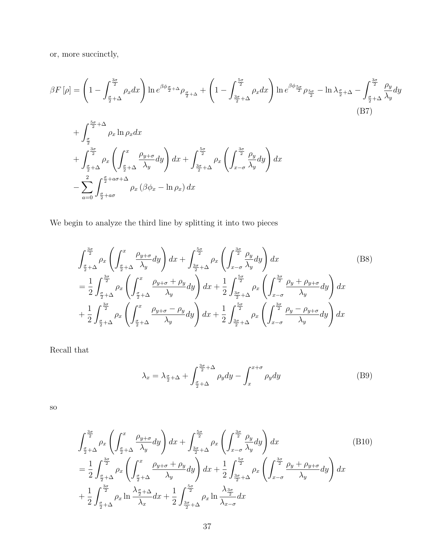or, more succinctly,

$$
\beta F\left[\rho\right] = \left(1 - \int_{\frac{\sigma}{2}+\Delta}^{\frac{3\sigma}{2}} \rho_x dx\right) \ln e^{\beta \phi_{\frac{\sigma}{2}+\Delta}} \rho_{\frac{\sigma}{2}+\Delta} + \left(1 - \int_{\frac{3\sigma}{2}+\Delta}^{\frac{5\sigma}{2}} \rho_x dx\right) \ln e^{\beta \phi_{\frac{5\sigma}{2}}}\rho_{\frac{5\sigma}{2}} - \ln \lambda_{\frac{\sigma}{2}+\Delta} - \int_{\frac{\sigma}{2}+\Delta}^{\frac{3\sigma}{2}} \frac{\rho_y}{\lambda_y} dy
$$
\n
$$
+ \int_{\frac{\sigma}{2}}^{\frac{5\sigma}{2}+\Delta} \rho_x \ln \rho_x dx
$$
\n
$$
+ \int_{\frac{\sigma}{2}+\Delta}^{\frac{3\sigma}{2}} \rho_x \left(\int_{\frac{\sigma}{2}+\Delta}^x \frac{\rho_{y+\sigma}}{\lambda_y} dy\right) dx + \int_{\frac{3\sigma}{2}+\Delta}^{\frac{5\sigma}{2}} \rho_x \left(\int_{x-\sigma}^{\frac{3\sigma}{2}} \frac{\rho_y}{\lambda_y} dy\right) dx
$$
\n
$$
- \sum_{a=0}^2 \int_{\frac{\sigma}{2}+a\sigma}^{\frac{\sigma}{2}+a\sigma} \rho_x \left(\beta \phi_x - \ln \rho_x\right) dx
$$
\n(By Eq. (4.12)

We begin to analyze the third line by splitting it into two pieces

$$
\int_{\frac{\sigma}{2}+\Delta}^{\frac{3\sigma}{2}} \rho_x \left( \int_{\frac{\sigma}{2}+\Delta}^x \frac{\rho_{y+\sigma}}{\lambda_y} dy \right) dx + \int_{\frac{3\sigma}{2}+\Delta}^{\frac{5\sigma}{2}} \rho_x \left( \int_{x-\sigma}^{\frac{3\sigma}{2}} \frac{\rho_y}{\lambda_y} dy \right) dx \qquad (B8)
$$
  

$$
= \frac{1}{2} \int_{\frac{\sigma}{2}+\Delta}^{\frac{3\sigma}{2}} \rho_x \left( \int_{\frac{\sigma}{2}+\Delta}^x \frac{\rho_{y+\sigma}+\rho_y}{\lambda_y} dy \right) dx + \frac{1}{2} \int_{\frac{3\sigma}{2}+\Delta}^{\frac{5\sigma}{2}} \rho_x \left( \int_{x-\sigma}^{\frac{3\sigma}{2}} \frac{\rho_y+\rho_{y+\sigma}}{\lambda_y} dy \right) dx
$$
  

$$
+ \frac{1}{2} \int_{\frac{\sigma}{2}+\Delta}^{\frac{3\sigma}{2}} \rho_x \left( \int_{\frac{\sigma}{2}+\Delta}^x \frac{\rho_{y+\sigma}-\rho_y}{\lambda_y} dy \right) dx + \frac{1}{2} \int_{\frac{3\sigma}{2}+\Delta}^{\frac{5\sigma}{2}} \rho_x \left( \int_{x-\sigma}^{\frac{3\sigma}{2}} \frac{\rho_y-\rho_{y+\sigma}}{\lambda_y} dy \right) dx
$$

Recall that

$$
\lambda_x = \lambda_{\frac{\sigma}{2} + \Delta} + \int_{\frac{\sigma}{2} + \Delta}^{\frac{3\sigma}{2} + \Delta} \rho_y dy - \int_x^{x+\sigma} \rho_y dy \tag{B9}
$$

so

$$
\int_{\frac{\sigma}{2}+\Delta}^{\frac{3\sigma}{2}} \rho_x \left( \int_{\frac{\sigma}{2}+\Delta}^x \frac{\rho_{y+\sigma}}{\lambda_y} dy \right) dx + \int_{\frac{3\sigma}{2}+\Delta}^{\frac{5\sigma}{2}} \rho_x \left( \int_{x-\sigma}^{\frac{3\sigma}{2}} \frac{\rho_y}{\lambda_y} dy \right) dx \tag{B10}
$$
  

$$
= \frac{1}{2} \int_{\frac{\sigma}{2}+\Delta}^{\frac{3\sigma}{2}} \rho_x \left( \int_{\frac{\sigma}{2}+\Delta}^x \frac{\rho_{y+\sigma}+\rho_y}{\lambda_y} dy \right) dx + \frac{1}{2} \int_{\frac{3\sigma}{2}+\Delta}^{\frac{5\sigma}{2}} \rho_x \left( \int_{x-\sigma}^{\frac{3\sigma}{2}} \frac{\rho_y+\rho_{y+\sigma}}{\lambda_y} dy \right) dx
$$
  

$$
+ \frac{1}{2} \int_{\frac{\sigma}{2}+\Delta}^{\frac{3\sigma}{2}} \rho_x \ln \frac{\lambda_{\frac{\sigma}{2}+\Delta}}{\lambda_x} dx + \frac{1}{2} \int_{\frac{3\sigma}{2}+\Delta}^{\frac{5\sigma}{2}} \rho_x \ln \frac{\lambda_{\frac{3\sigma}{2}}}{\lambda_{x-\sigma}} dx
$$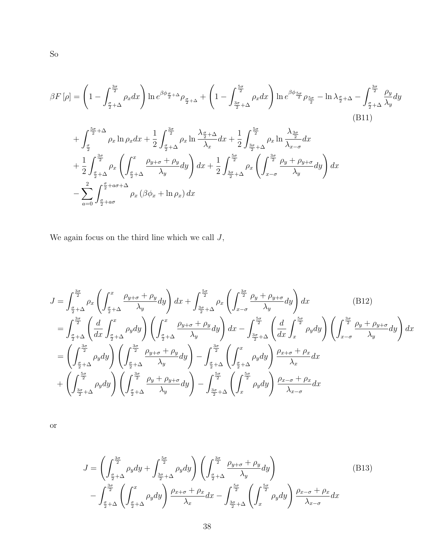$$
\beta F\left[\rho\right] = \left(1 - \int_{\frac{\sigma}{2}+\Delta}^{\frac{3\sigma}{2}} \rho_x dx\right) \ln e^{\beta \phi_{\frac{\sigma}{2}+\Delta}} \rho_{\frac{\sigma}{2}+\Delta} + \left(1 - \int_{\frac{3\sigma}{2}+\Delta}^{\frac{5\sigma}{2}} \rho_x dx\right) \ln e^{\beta \phi_{\frac{5\sigma}{2}}}\rho_{\frac{5\sigma}{2}} - \ln \lambda_{\frac{\sigma}{2}+\Delta} - \int_{\frac{\sigma}{2}+\Delta}^{\frac{3\sigma}{2}} \frac{\rho_y}{\lambda_y} dy
$$
\n(B11)  
\n
$$
+ \int_{\frac{\sigma}{2}}^{\frac{5\sigma}{2}+\Delta} \rho_x \ln \rho_x dx + \frac{1}{2} \int_{\frac{\sigma}{2}+\Delta}^{\frac{3\sigma}{2}} \rho_x \ln \frac{\lambda_{\frac{\sigma}{2}+\Delta}}{\lambda_x} dx + \frac{1}{2} \int_{\frac{3\sigma}{2}+\Delta}^{\frac{5\sigma}{2}} \rho_x \ln \frac{\lambda_{\frac{3\sigma}{2}}}{\lambda_{x-\sigma}} dx
$$
\n
$$
+ \frac{1}{2} \int_{\frac{\sigma}{2}+\Delta}^{\frac{3\sigma}{2}} \rho_x \left(\int_{\frac{\sigma}{2}+\Delta}^x \frac{\rho_{y+\sigma} + \rho_y}{\lambda_y} dy\right) dx + \frac{1}{2} \int_{\frac{3\sigma}{2}+\Delta}^{\frac{5\sigma}{2}} \rho_x \left(\int_{x-\sigma}^{\frac{3\sigma}{2}} \frac{\rho_y + \rho_{y+\sigma}}{\lambda_y} dy\right) dx
$$
\n
$$
- \sum_{a=0}^2 \int_{\frac{\sigma}{2}+a\sigma}^{\frac{\sigma}{2}+a\sigma} \rho_x \left(\beta \phi_x + \ln \rho_x\right) dx
$$
\n(B11)

We again focus on the third line which we call  ${\cal J},$ 

$$
J = \int_{\frac{\sigma}{2}+\Delta}^{\frac{3\sigma}{2}} \rho_x \left( \int_{\frac{\sigma}{2}+\Delta}^x \frac{\rho_{y+\sigma} + \rho_y}{\lambda_y} dy \right) dx + \int_{\frac{3\sigma}{2}+\Delta}^{\frac{5\sigma}{2}} \rho_x \left( \int_{x-\sigma}^{\frac{3\sigma}{2}} \frac{\rho_y + \rho_{y+\sigma}}{\lambda_y} dy \right) dx \qquad (B12)
$$
  
\n
$$
= \int_{\frac{\sigma}{2}+\Delta}^{\frac{3\sigma}{2}} \left( \frac{d}{dx} \int_{\frac{\sigma}{2}+\Delta}^x \rho_y dy \right) \left( \int_{\frac{\sigma}{2}+\Delta}^x \frac{\rho_{y+\sigma} + \rho_y}{\lambda_y} dy \right) dx - \int_{\frac{3\sigma}{2}+\Delta}^{\frac{5\sigma}{2}} \left( \frac{d}{dx} \int_x^{\frac{5\sigma}{2}} \rho_y dy \right) \left( \int_{x-\sigma}^{\frac{3\sigma}{2}} \frac{\rho_y + \rho_{y+\sigma}}{\lambda_y} dy \right) dx
$$
  
\n
$$
= \left( \int_{\frac{\sigma}{2}+\Delta}^{\frac{3\sigma}{2}} \rho_y dy \right) \left( \int_{\frac{\sigma}{2}+\Delta}^{\frac{3\sigma}{2}} \frac{\rho_{y+\sigma} + \rho_y}{\lambda_y} dy \right) - \int_{\frac{\sigma}{2}+\Delta}^{\frac{3\sigma}{2}} \left( \int_{\frac{\sigma}{2}+\Delta}^x \rho_y dy \right) \frac{\rho_{x+\sigma} + \rho_x}{\lambda_x} dx
$$
  
\n
$$
+ \left( \int_{\frac{3\sigma}{2}+\Delta}^{\frac{5\sigma}{2}} \rho_y dy \right) \left( \int_{\frac{\sigma}{2}+\Delta}^{\frac{3\sigma}{2}} \frac{\rho_y + \rho_{y+\sigma}}{\lambda_y} dy \right) - \int_{\frac{3\sigma}{2}+\Delta}^{\frac{5\sigma}{2}} \left( \int_x^{\frac{5\sigma}{2}} \rho_y dy \right) \frac{\rho_{x-\sigma} + \rho_x}{\lambda_{x-\sigma}} dx
$$

or

$$
J = \left(\int_{\frac{\sigma}{2}+\Delta}^{\frac{3\sigma}{2}} \rho_y dy + \int_{\frac{3\sigma}{2}+\Delta}^{\frac{5\sigma}{2}} \rho_y dy\right) \left(\int_{\frac{\sigma}{2}+\Delta}^{\frac{3\sigma}{2}} \frac{\rho_{y+\sigma}+\rho_y}{\lambda_y} dy\right) - \int_{\frac{\sigma}{2}+\Delta}^{\frac{3\sigma}{2}} \left(\int_{\frac{\sigma}{2}+\Delta}^x \rho_y dy\right) \frac{\rho_{x+\sigma}+\rho_x}{\lambda_x} dx - \int_{\frac{3\sigma}{2}+\Delta}^{\frac{5\sigma}{2}} \left(\int_x^{\frac{5\sigma}{2}} \rho_y dy\right) \frac{\rho_{x-\sigma}+\rho_x}{\lambda_{x-\sigma}} dx
$$
 (B13)

So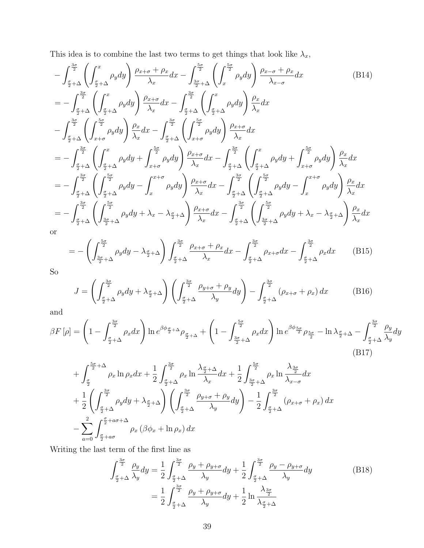This idea is to combine the last two terms to get things that look like  $\lambda_x$ ,

$$
-\int_{\frac{\sigma}{2}+1}^{\frac{3\sigma}{2}} \left(\int_{\frac{\sigma}{2}+1}^{x} \rho_y dy\right) \frac{\rho_{x+\sigma} + \rho_x}{\lambda_x} dx - \int_{\frac{3\sigma}{2}+1}^{\frac{5\sigma}{2}} \left(\int_{x}^{\frac{5\sigma}{2}} \rho_y dy\right) \frac{\rho_{x-\sigma} + \rho_x}{\lambda_{x-\sigma}} dx \qquad (B14)
$$
  
\n
$$
= -\int_{\frac{\sigma}{2}+1}^{\frac{3\sigma}{2}} \left(\int_{\frac{\sigma}{2}+1}^{x} \rho_y dy\right) \frac{\rho_{x+\sigma}}{\lambda_x} dx - \int_{\frac{\sigma}{2}+1}^{\frac{3\sigma}{2}} \left(\int_{\frac{\sigma}{2}+1}^{x} \rho_y dy\right) \frac{\rho_x}{\lambda_x} dx
$$
  
\n
$$
-\int_{\frac{\sigma}{2}+1}^{\frac{3\sigma}{2}} \left(\int_{x+\sigma}^{\frac{5\sigma}{2}} \rho_y dy\right) \frac{\rho_x}{\lambda_x} dx - \int_{\frac{\sigma}{2}+1}^{\frac{5\sigma}{2}} \left(\int_{x+\sigma}^{\frac{5\sigma}{2}} \rho_y dy\right) \frac{\rho_{x+\sigma}}{\lambda_x} dx
$$
  
\n
$$
= -\int_{\frac{\sigma}{2}+1}^{\frac{3\sigma}{2}} \left(\int_{\frac{\sigma}{2}+1}^{x} \rho_y dy + \int_{x+\sigma}^{\frac{5\sigma}{2}} \rho_y dy\right) \frac{\rho_{x+\sigma}}{\lambda_x} dx - \int_{\frac{\sigma}{2}+1}^{\frac{3\sigma}{2}} \left(\int_{\frac{\sigma}{2}+1}^{x} \rho_y dy + \int_{x+\sigma}^{\frac{5\sigma}{2}} \rho_y dy\right) \frac{\rho_x}{\lambda_x} dx
$$
  
\n
$$
= -\int_{\frac{\sigma}{2}+1}^{\frac{3\sigma}{2}} \left(\int_{\frac{\sigma}{2}+1}^{\frac{5\sigma}{2}} \rho_y dy - \int_{x}^{x+\sigma} \rho_y dy\right) \frac{\rho_{x+\sigma}}{\lambda_x} dx - \int_{\frac{\sigma}{2}+1}^{\frac{3\sigma}{2}} \left(\int_{\frac{\sigma}{2}+1}^{\frac{5\sigma}{2}} \rho_y dy - \int_{x}^{x+\sigma
$$

or

$$
= -\left(\int_{\frac{3\sigma}{2}+\Delta}^{\frac{5\sigma}{2}} \rho_y dy - \lambda_{\frac{\sigma}{2}+\Delta}\right) \int_{\frac{\sigma}{2}+\Delta}^{\frac{3\sigma}{2}} \frac{\rho_{x+\sigma} + \rho_x}{\lambda_x} dx - \int_{\frac{\sigma}{2}+\Delta}^{\frac{3\sigma}{2}} \rho_{x+\sigma} dx - \int_{\frac{\sigma}{2}+\Delta}^{\frac{3\sigma}{2}} \rho_x dx \qquad (B15)
$$

So

$$
J = \left(\int_{\frac{\sigma}{2}+\Delta}^{\frac{3\sigma}{2}} \rho_y dy + \lambda_{\frac{\sigma}{2}+\Delta}\right) \left(\int_{\frac{\sigma}{2}+\Delta}^{\frac{3\sigma}{2}} \frac{\rho_{y+\sigma} + \rho_y}{\lambda_y} dy\right) - \int_{\frac{\sigma}{2}+\Delta}^{\frac{3\sigma}{2}} (\rho_{x+\sigma} + \rho_x) dx \tag{B16}
$$

and

$$
\beta F\left[\rho\right] = \left(1 - \int_{\frac{\sigma}{2}+\Delta}^{\frac{3\sigma}{2}} \rho_x dx\right) \ln e^{\beta \phi_{\frac{\sigma}{2}+\Delta}} \rho_{\frac{\sigma}{2}+\Delta} + \left(1 - \int_{\frac{3\sigma}{2}+\Delta}^{\frac{5\sigma}{2}} \rho_x dx\right) \ln e^{\beta \phi_{\frac{5\sigma}{2}}}\rho_{\frac{5\sigma}{2}} - \ln \lambda_{\frac{\sigma}{2}+\Delta} - \int_{\frac{\sigma}{2}+\Delta}^{\frac{3\sigma}{2}} \frac{\rho_y}{\lambda_y} dy\tag{B17}
$$

$$
+\int_{\frac{\sigma}{2}}^{\frac{5\sigma}{2}+\Delta} \rho_x \ln \rho_x dx + \frac{1}{2} \int_{\frac{\sigma}{2}+\Delta}^{\frac{3\sigma}{2}} \rho_x \ln \frac{\lambda_{\frac{\sigma}{2}+\Delta}}{\lambda_x} dx + \frac{1}{2} \int_{\frac{3\sigma}{2}+\Delta}^{\frac{5\sigma}{2}} \rho_x \ln \frac{\lambda_{\frac{3\sigma}{2}}}{\lambda_{x-\sigma}} dx
$$
  
+ 
$$
\frac{1}{2} \left( \int_{\frac{\sigma}{2}+\Delta}^{\frac{3\sigma}{2}} \rho_y dy + \lambda_{\frac{\sigma}{2}+\Delta} \right) \left( \int_{\frac{\sigma}{2}+\Delta}^{\frac{3\sigma}{2}} \frac{\rho_{y+\sigma} + \rho_y}{\lambda_y} dy \right) - \frac{1}{2} \int_{\frac{\sigma}{2}+\Delta}^{\frac{3\sigma}{2}} (\rho_{x+\sigma} + \rho_x) dx
$$
  
- 
$$
\sum_{a=0}^{2} \int_{\frac{\sigma}{2}+a\sigma}^{\frac{\sigma}{2}+a\sigma+\Delta} \rho_x (\beta \phi_x + \ln \rho_x) dx
$$

Writing the last term of the first line as

$$
\int_{\frac{\sigma}{2}+\Delta}^{\frac{3\sigma}{2}} \frac{\rho_y}{\lambda_y} dy = \frac{1}{2} \int_{\frac{\sigma}{2}+\Delta}^{\frac{3\sigma}{2}} \frac{\rho_y + \rho_{y+\sigma}}{\lambda_y} dy + \frac{1}{2} \int_{\frac{\sigma}{2}+\Delta}^{\frac{3\sigma}{2}} \frac{\rho_y - \rho_{y+\sigma}}{\lambda_y} dy
$$
\n(B18)\n
$$
= \frac{1}{2} \int_{\frac{\sigma}{2}+\Delta}^{\frac{3\sigma}{2}} \frac{\rho_y + \rho_{y+\sigma}}{\lambda_y} dy + \frac{1}{2} \ln \frac{\lambda_{\frac{3\sigma}{2}}}{\lambda_{\frac{\sigma}{2}+\Delta}}
$$